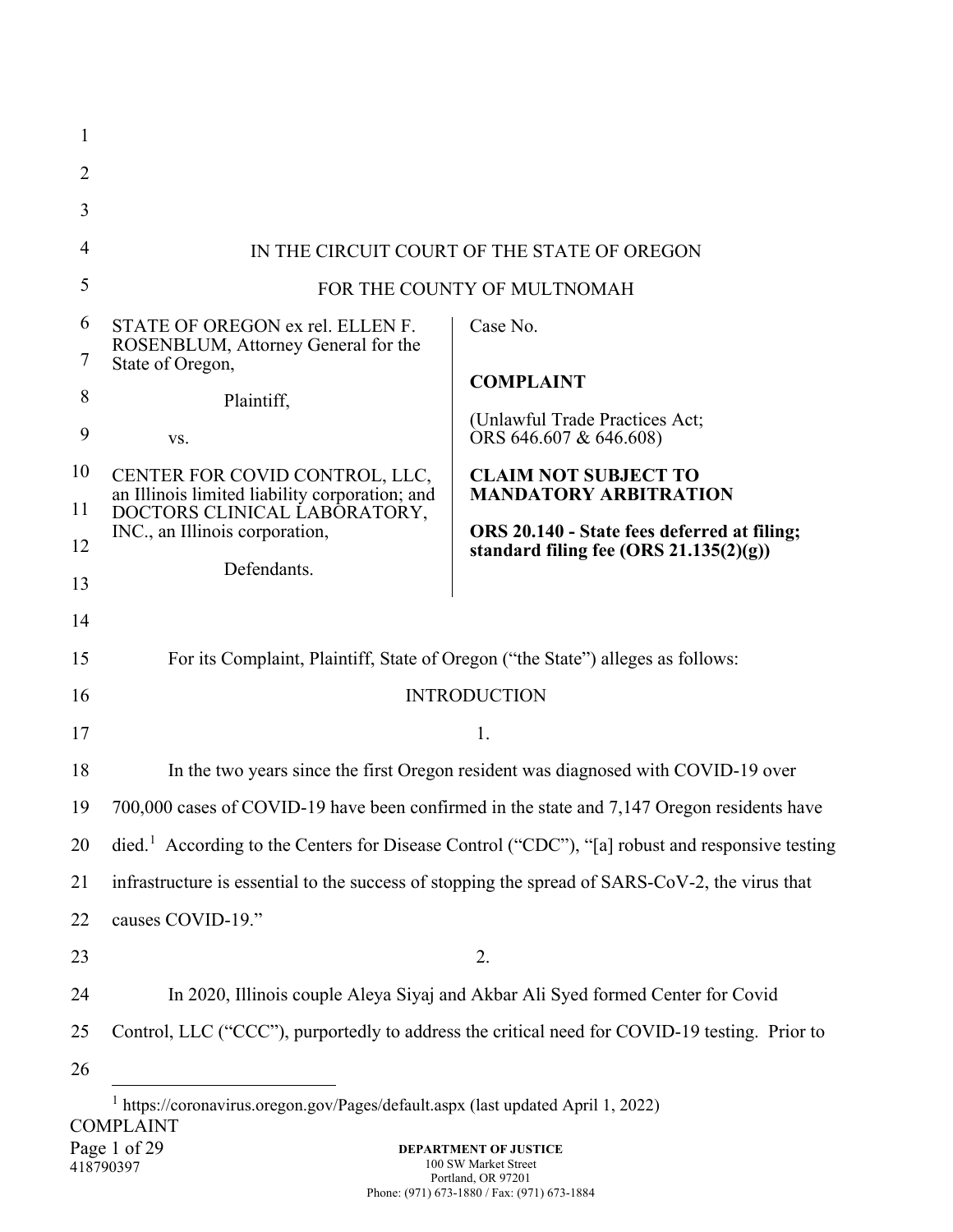| $\mathbf{1}$ |                                                                                                 |                                                                                                             |
|--------------|-------------------------------------------------------------------------------------------------|-------------------------------------------------------------------------------------------------------------|
| 2            |                                                                                                 |                                                                                                             |
| 3            |                                                                                                 |                                                                                                             |
| 4            |                                                                                                 | IN THE CIRCUIT COURT OF THE STATE OF OREGON                                                                 |
| 5            |                                                                                                 | FOR THE COUNTY OF MULTNOMAH                                                                                 |
| 6            | STATE OF OREGON ex rel. ELLEN F.                                                                | Case No.                                                                                                    |
| 7            | ROSENBLUM, Attorney General for the<br>State of Oregon,                                         |                                                                                                             |
| 8            | Plaintiff,                                                                                      | <b>COMPLAINT</b>                                                                                            |
| 9            | VS.                                                                                             | (Unlawful Trade Practices Act;<br>ORS 646.607 & 646.608)                                                    |
| 10           | CENTER FOR COVID CONTROL, LLC,<br>an Illinois limited liability corporation; and                | <b>CLAIM NOT SUBJECT TO</b><br><b>MANDATORY ARBITRATION</b>                                                 |
| 11           | DOCTORS CLINICAL LABORATORY,<br>INC., an Illinois corporation,                                  | ORS 20.140 - State fees deferred at filing;                                                                 |
| 12           | Defendants.                                                                                     | standard filing fee $(ORS 21.135(2)(g))$                                                                    |
| 13           |                                                                                                 |                                                                                                             |
| 14           |                                                                                                 |                                                                                                             |
| 15           |                                                                                                 | For its Complaint, Plaintiff, State of Oregon ("the State") alleges as follows:                             |
| 16           | <b>INTRODUCTION</b>                                                                             |                                                                                                             |
| 17           | 1.                                                                                              |                                                                                                             |
| 18           | In the two years since the first Oregon resident was diagnosed with COVID-19 over               |                                                                                                             |
| 19           | 700,000 cases of COVID-19 have been confirmed in the state and 7,147 Oregon residents have      |                                                                                                             |
| 20           |                                                                                                 | died. <sup>1</sup> According to the Centers for Disease Control ("CDC"), "[a] robust and responsive testing |
| 21           | infrastructure is essential to the success of stopping the spread of SARS-CoV-2, the virus that |                                                                                                             |
| 22           | causes COVID-19."                                                                               |                                                                                                             |
| 23           |                                                                                                 | 2.                                                                                                          |
| 24           |                                                                                                 | In 2020, Illinois couple Aleya Siyaj and Akbar Ali Syed formed Center for Covid                             |
| 25           |                                                                                                 | Control, LLC ("CCC"), purportedly to address the critical need for COVID-19 testing. Prior to               |
| 26           |                                                                                                 |                                                                                                             |
|              | <sup>1</sup> https://coronavirus.oregon.gov/Pages/default.aspx (last updated April 1, 2022)     |                                                                                                             |
|              | <b>COMPLAINT</b><br>Page 1 of 29                                                                | DEPARTMENT OF JUSTICE                                                                                       |
|              |                                                                                                 |                                                                                                             |

<span id="page-0-0"></span>418790397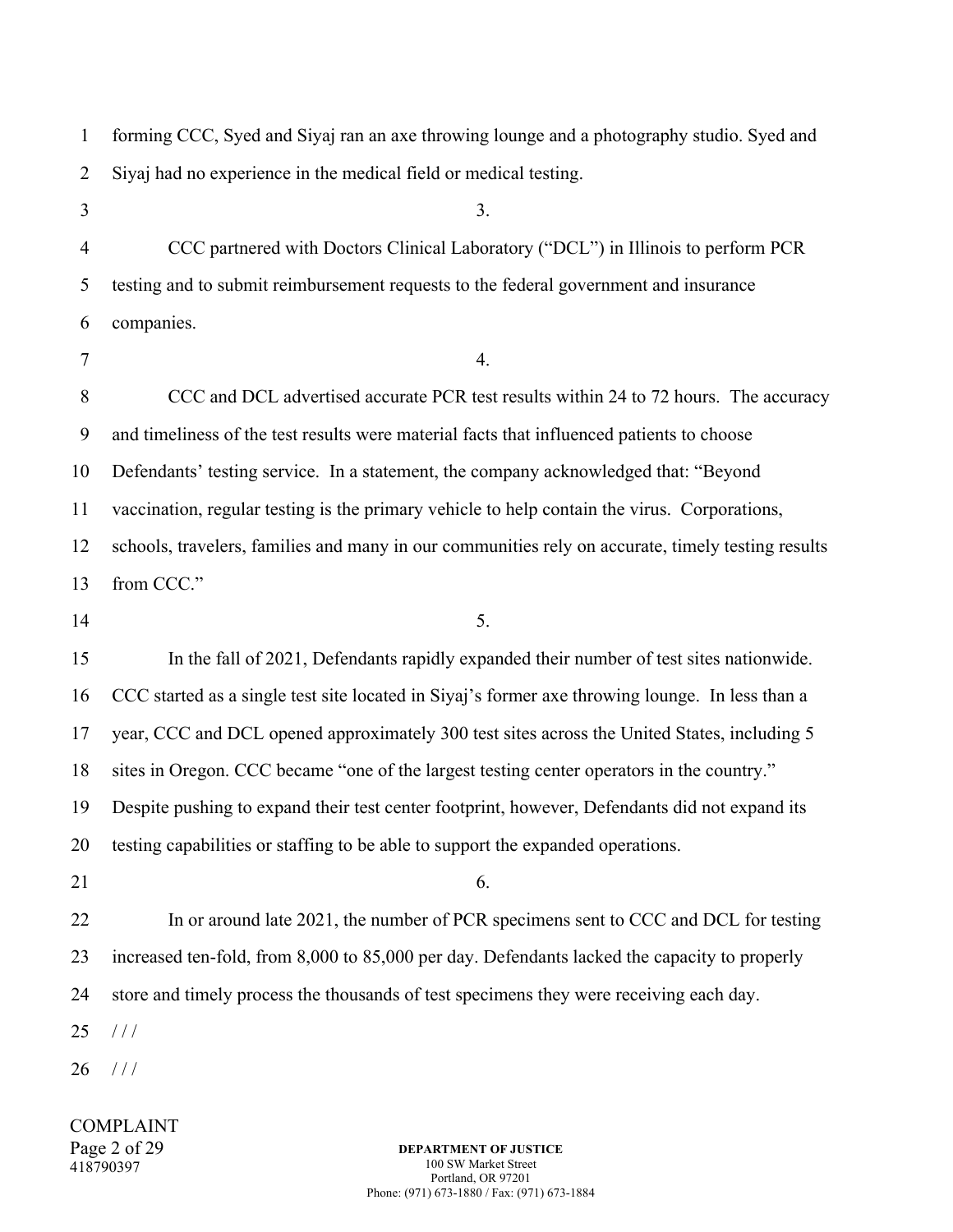| $\mathbf{1}$ | forming CCC, Syed and Siyaj ran an axe throwing lounge and a photography studio. Syed and         |
|--------------|---------------------------------------------------------------------------------------------------|
| 2            | Siyaj had no experience in the medical field or medical testing.                                  |
| 3            | 3.                                                                                                |
| 4            | CCC partnered with Doctors Clinical Laboratory ("DCL") in Illinois to perform PCR                 |
| 5            | testing and to submit reimbursement requests to the federal government and insurance              |
| 6            | companies.                                                                                        |
| 7            | 4.                                                                                                |
| 8            | CCC and DCL advertised accurate PCR test results within 24 to 72 hours. The accuracy              |
| 9            | and timeliness of the test results were material facts that influenced patients to choose         |
| 10           | Defendants' testing service. In a statement, the company acknowledged that: "Beyond               |
| 11           | vaccination, regular testing is the primary vehicle to help contain the virus. Corporations,      |
| 12           | schools, travelers, families and many in our communities rely on accurate, timely testing results |
| 13           | from CCC."                                                                                        |
|              |                                                                                                   |
| 14           | 5.                                                                                                |
| 15           | In the fall of 2021, Defendants rapidly expanded their number of test sites nationwide.           |
| 16           | CCC started as a single test site located in Siyaj's former axe throwing lounge. In less than a   |
| 17           | year, CCC and DCL opened approximately 300 test sites across the United States, including 5       |
| 18           | sites in Oregon. CCC became "one of the largest testing center operators in the country."         |
| 19           | Despite pushing to expand their test center footprint, however, Defendants did not expand its     |
| 20           | testing capabilities or staffing to be able to support the expanded operations.                   |
| 21           | 6.                                                                                                |
| 22           | In or around late 2021, the number of PCR specimens sent to CCC and DCL for testing               |
| 23           | increased ten-fold, from 8,000 to 85,000 per day. Defendants lacked the capacity to properly      |
| 24           | store and timely process the thousands of test specimens they were receiving each day.            |
| 25           | 111                                                                                               |

COMPLAINT Page 2 of 29 418790397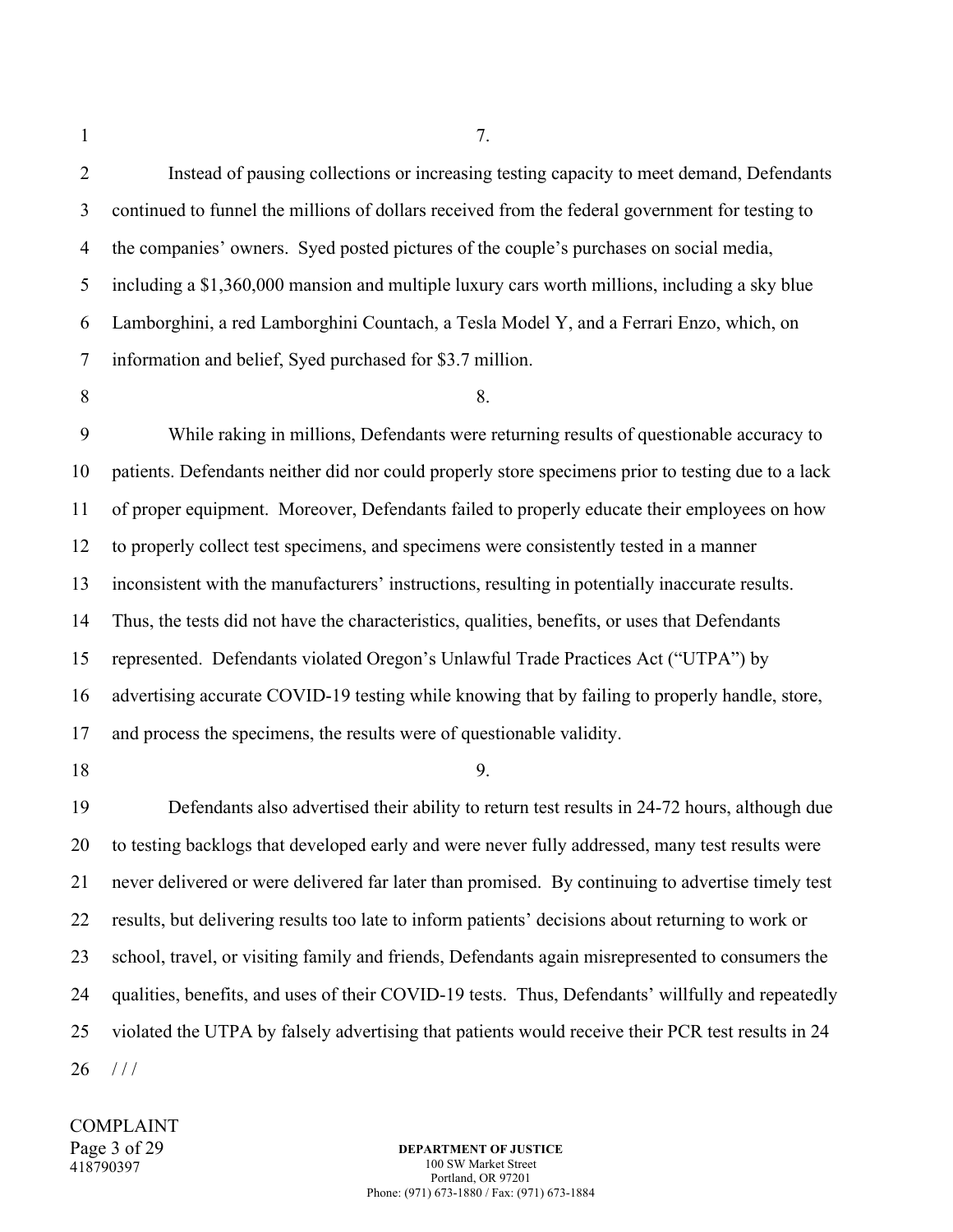1

2 3 4 5 6 7 Instead of pausing collections or increasing testing capacity to meet demand, Defendants continued to funnel the millions of dollars received from the federal government for testing to the companies' owners. Syed posted pictures of the couple's purchases on social media, including a \$1,360,000 mansion and multiple luxury cars worth millions, including a sky blue Lamborghini, a red Lamborghini Countach, a Tesla Model Y, and a Ferrari Enzo, which, on information and belief, Syed purchased for \$3.7 million.

8

## 8.

9 10 11 12 13 14 15 16 17 While raking in millions, Defendants were returning results of questionable accuracy to patients. Defendants neither did nor could properly store specimens prior to testing due to a lack of proper equipment. Moreover, Defendants failed to properly educate their employees on how to properly collect test specimens, and specimens were consistently tested in a manner inconsistent with the manufacturers' instructions, resulting in potentially inaccurate results. Thus, the tests did not have the characteristics, qualities, benefits, or uses that Defendants represented. Defendants violated Oregon's Unlawful Trade Practices Act ("UTPA") by advertising accurate COVID-19 testing while knowing that by failing to properly handle, store, and process the specimens, the results were of questionable validity.

18

9.

19 20 21 22 23 24 25 26 Defendants also advertised their ability to return test results in 24-72 hours, although due to testing backlogs that developed early and were never fully addressed, many test results were never delivered or were delivered far later than promised. By continuing to advertise timely test results, but delivering results too late to inform patients' decisions about returning to work or school, travel, or visiting family and friends, Defendants again misrepresented to consumers the qualities, benefits, and uses of their COVID-19 tests. Thus, Defendants' willfully and repeatedly violated the UTPA by falsely advertising that patients would receive their PCR test results in 24 / / /

COMPLAINT Page 3 of 29 418790397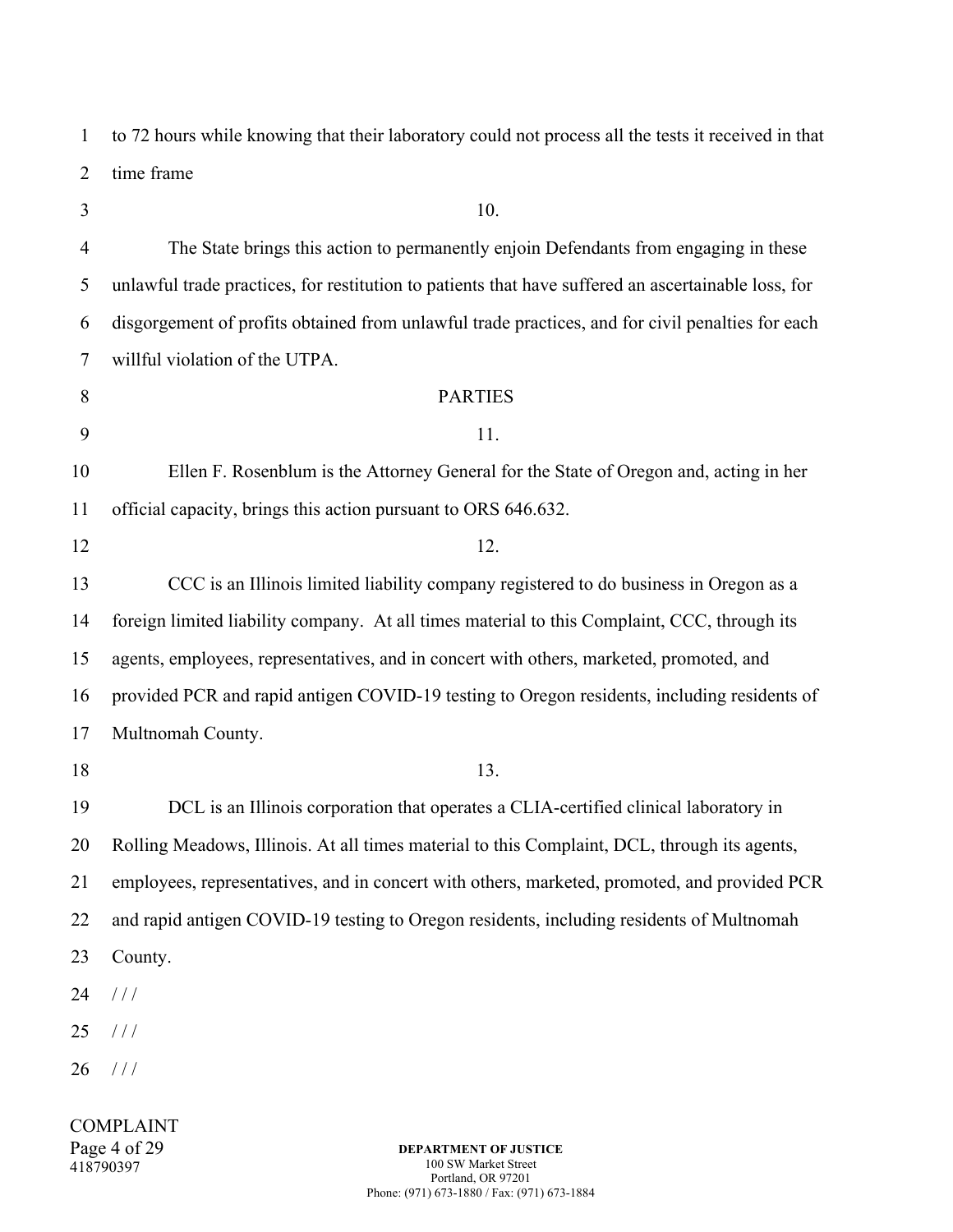2 3 4 5 6 7 8 9 10 11 12 13 14 15 16 17 18 19 20 21 22 23 24 25 time frame 10. The State brings this action to permanently enjoin Defendants from engaging in these unlawful trade practices, for restitution to patients that have suffered an ascertainable loss, for disgorgement of profits obtained from unlawful trade practices, and for civil penalties for each willful violation of the UTPA. PARTIES 11. Ellen F. Rosenblum is the Attorney General for the State of Oregon and, acting in her official capacity, brings this action pursuant to ORS 646.632. 12. CCC is an Illinois limited liability company registered to do business in Oregon as a foreign limited liability company. At all times material to this Complaint, CCC, through its agents, employees, representatives, and in concert with others, marketed, promoted, and provided PCR and rapid antigen COVID-19 testing to Oregon residents, including residents of Multnomah County. 13. DCL is an Illinois corporation that operates a CLIA-certified clinical laboratory in Rolling Meadows, Illinois. At all times material to this Complaint, DCL, through its agents, employees, representatives, and in concert with others, marketed, promoted, and provided PCR and rapid antigen COVID-19 testing to Oregon residents, including residents of Multnomah County.  $/ / /$  $1/1$ 

to 72 hours while knowing that their laboratory could not process all the tests it received in that

26  $//$ 

1

COMPLAINT Page 4 of 29 418790397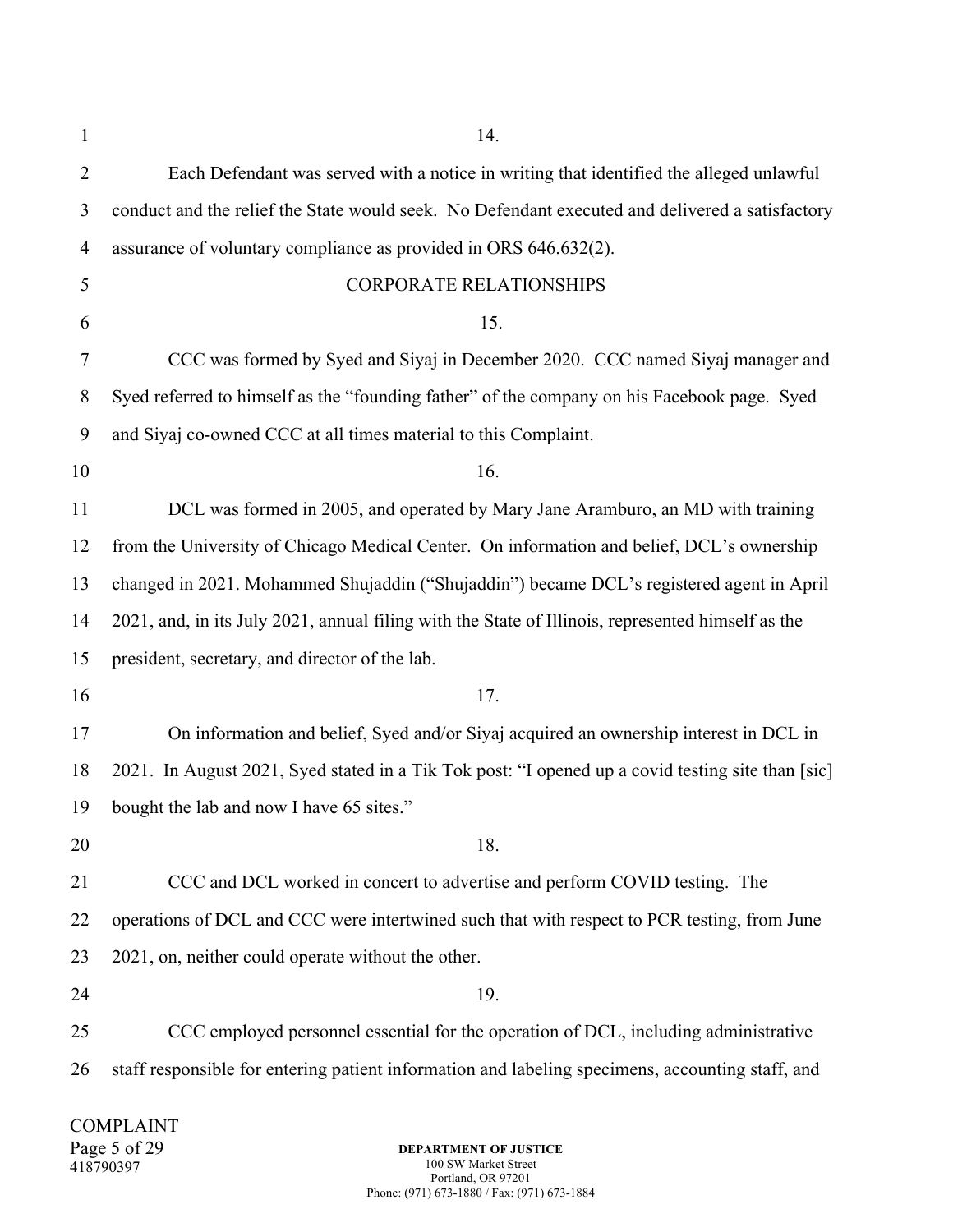| 1              | 14.                                                                                               |
|----------------|---------------------------------------------------------------------------------------------------|
| $\overline{2}$ | Each Defendant was served with a notice in writing that identified the alleged unlawful           |
| 3              | conduct and the relief the State would seek. No Defendant executed and delivered a satisfactory   |
| 4              | assurance of voluntary compliance as provided in ORS 646.632(2).                                  |
| 5              | <b>CORPORATE RELATIONSHIPS</b>                                                                    |
| 6              | 15.                                                                                               |
| 7              | CCC was formed by Syed and Siyaj in December 2020. CCC named Siyaj manager and                    |
| 8              | Syed referred to himself as the "founding father" of the company on his Facebook page. Syed       |
| 9              | and Siyaj co-owned CCC at all times material to this Complaint.                                   |
| 10             | 16.                                                                                               |
| 11             | DCL was formed in 2005, and operated by Mary Jane Aramburo, an MD with training                   |
| 12             | from the University of Chicago Medical Center. On information and belief, DCL's ownership         |
| 13             | changed in 2021. Mohammed Shujaddin ("Shujaddin") became DCL's registered agent in April          |
| 14             | 2021, and, in its July 2021, annual filing with the State of Illinois, represented himself as the |
| 15             | president, secretary, and director of the lab.                                                    |
| 16             | 17.                                                                                               |
| 17             | On information and belief, Syed and/or Siyaj acquired an ownership interest in DCL in             |
| 18             | 2021. In August 2021, Syed stated in a Tik Tok post: "I opened up a covid testing site than [sic] |
| 19             | bought the lab and now I have 65 sites."                                                          |
| 20             | 18.                                                                                               |
| 21             | CCC and DCL worked in concert to advertise and perform COVID testing. The                         |
| 22             | operations of DCL and CCC were intertwined such that with respect to PCR testing, from June       |
| 23             | 2021, on, neither could operate without the other.                                                |
| 24             | 19.                                                                                               |
| 25             | CCC employed personnel essential for the operation of DCL, including administrative               |
| 26             | staff responsible for entering patient information and labeling specimens, accounting staff, and  |
|                |                                                                                                   |

COMPLAINT Page 5 of 29 418790397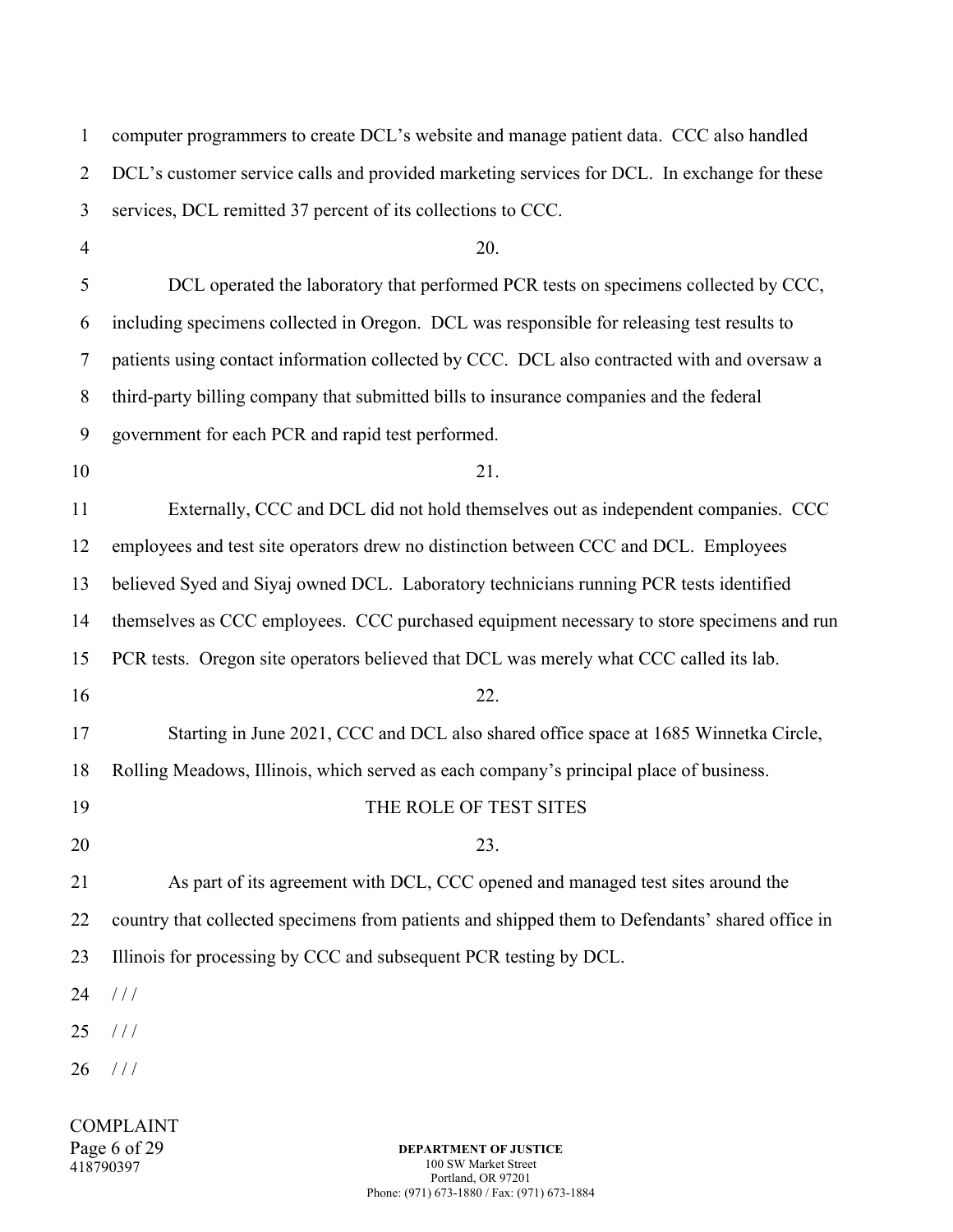| $\mathbf{1}$   | computer programmers to create DCL's website and manage patient data. CCC also handled          |
|----------------|-------------------------------------------------------------------------------------------------|
| $\overline{2}$ | DCL's customer service calls and provided marketing services for DCL. In exchange for these     |
| 3              | services, DCL remitted 37 percent of its collections to CCC.                                    |
| $\overline{4}$ | 20.                                                                                             |
| 5              | DCL operated the laboratory that performed PCR tests on specimens collected by CCC,             |
| 6              | including specimens collected in Oregon. DCL was responsible for releasing test results to      |
| 7              | patients using contact information collected by CCC. DCL also contracted with and oversaw a     |
| 8              | third-party billing company that submitted bills to insurance companies and the federal         |
| 9              | government for each PCR and rapid test performed.                                               |
| 10             | 21.                                                                                             |
| 11             | Externally, CCC and DCL did not hold themselves out as independent companies. CCC               |
| 12             | employees and test site operators drew no distinction between CCC and DCL. Employees            |
| 13             | believed Syed and Siyaj owned DCL. Laboratory technicians running PCR tests identified          |
| 14             | themselves as CCC employees. CCC purchased equipment necessary to store specimens and run       |
| 15             | PCR tests. Oregon site operators believed that DCL was merely what CCC called its lab.          |
| 16             | 22.                                                                                             |
| 17             | Starting in June 2021, CCC and DCL also shared office space at 1685 Winnetka Circle,            |
| 18             | Rolling Meadows, Illinois, which served as each company's principal place of business.          |
| 19             | THE ROLE OF TEST SITES                                                                          |
| 20             | 23.                                                                                             |
| 21             | As part of its agreement with DCL, CCC opened and managed test sites around the                 |
| 22             | country that collected specimens from patients and shipped them to Defendants' shared office in |
| 23             | Illinois for processing by CCC and subsequent PCR testing by DCL.                               |
| 24             | 111                                                                                             |
| 25             | 111                                                                                             |
| 26             | 111                                                                                             |
|                |                                                                                                 |

COMPLAINT Page 6 of 29 418790397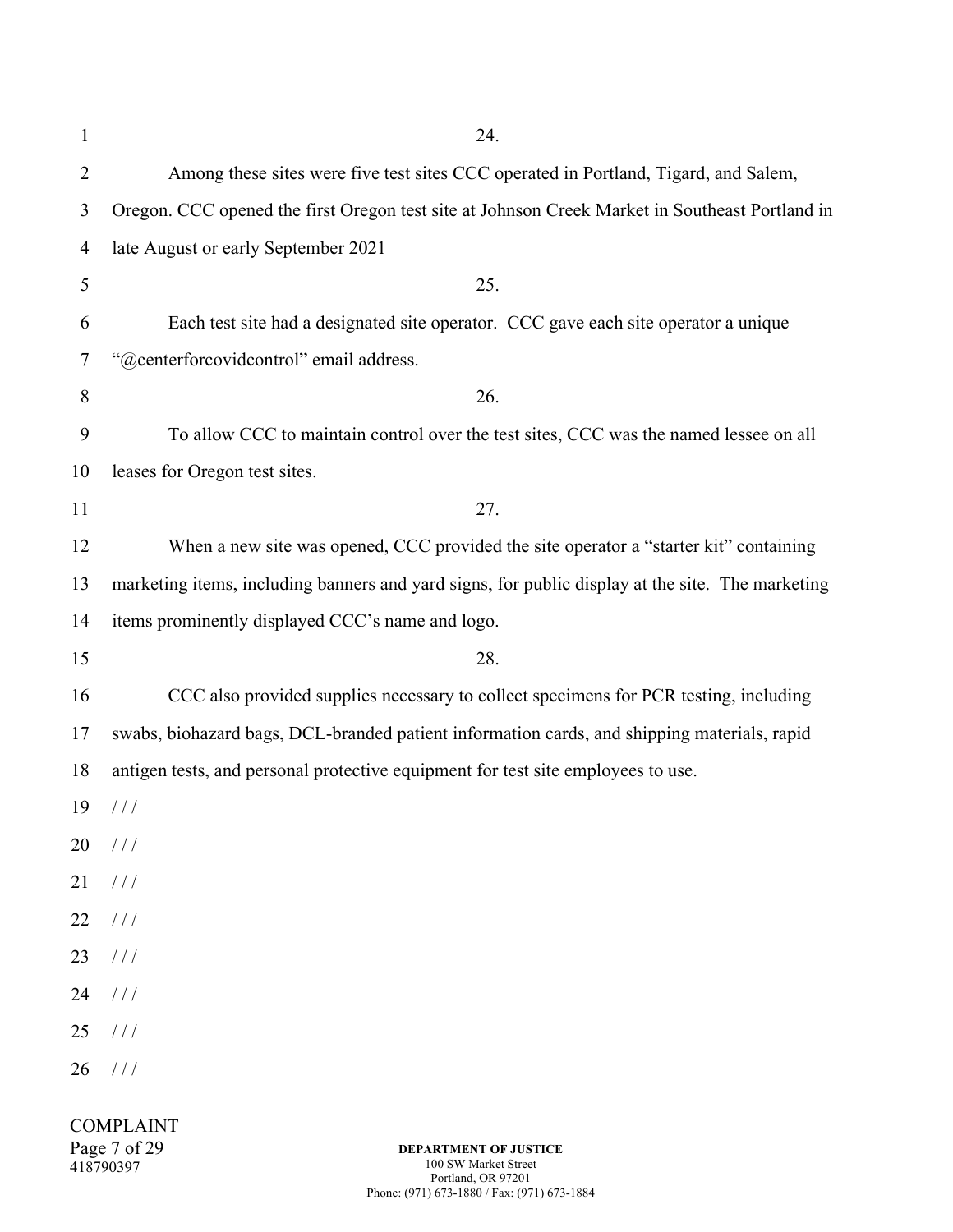| $\mathbf{1}$   | 24.                                                                                              |
|----------------|--------------------------------------------------------------------------------------------------|
| $\overline{2}$ | Among these sites were five test sites CCC operated in Portland, Tigard, and Salem,              |
| 3              | Oregon. CCC opened the first Oregon test site at Johnson Creek Market in Southeast Portland in   |
| 4              | late August or early September 2021                                                              |
| 5              | 25.                                                                                              |
| 6              | Each test site had a designated site operator. CCC gave each site operator a unique              |
| 7              | "@centerforcovidcontrol" email address.                                                          |
| 8              | 26.                                                                                              |
| 9              | To allow CCC to maintain control over the test sites, CCC was the named lessee on all            |
| 10             | leases for Oregon test sites.                                                                    |
| 11             | 27.                                                                                              |
| 12             | When a new site was opened, CCC provided the site operator a "starter kit" containing            |
| 13             | marketing items, including banners and yard signs, for public display at the site. The marketing |
| 14             | items prominently displayed CCC's name and logo.                                                 |
| 15             | 28.                                                                                              |
| 16             | CCC also provided supplies necessary to collect specimens for PCR testing, including             |
| 17             | swabs, biohazard bags, DCL-branded patient information cards, and shipping materials, rapid      |
| 18             | antigen tests, and personal protective equipment for test site employees to use.                 |
| 19             | 111                                                                                              |
|                | $20$ ///                                                                                         |
| 21             | 111                                                                                              |
| 22             | 111                                                                                              |
|                | $23$ ///                                                                                         |
| 24             | 111                                                                                              |
|                | $25$ ///                                                                                         |
| 26             | 111                                                                                              |
|                |                                                                                                  |

COMPLAINT Page 7 of 29 418790397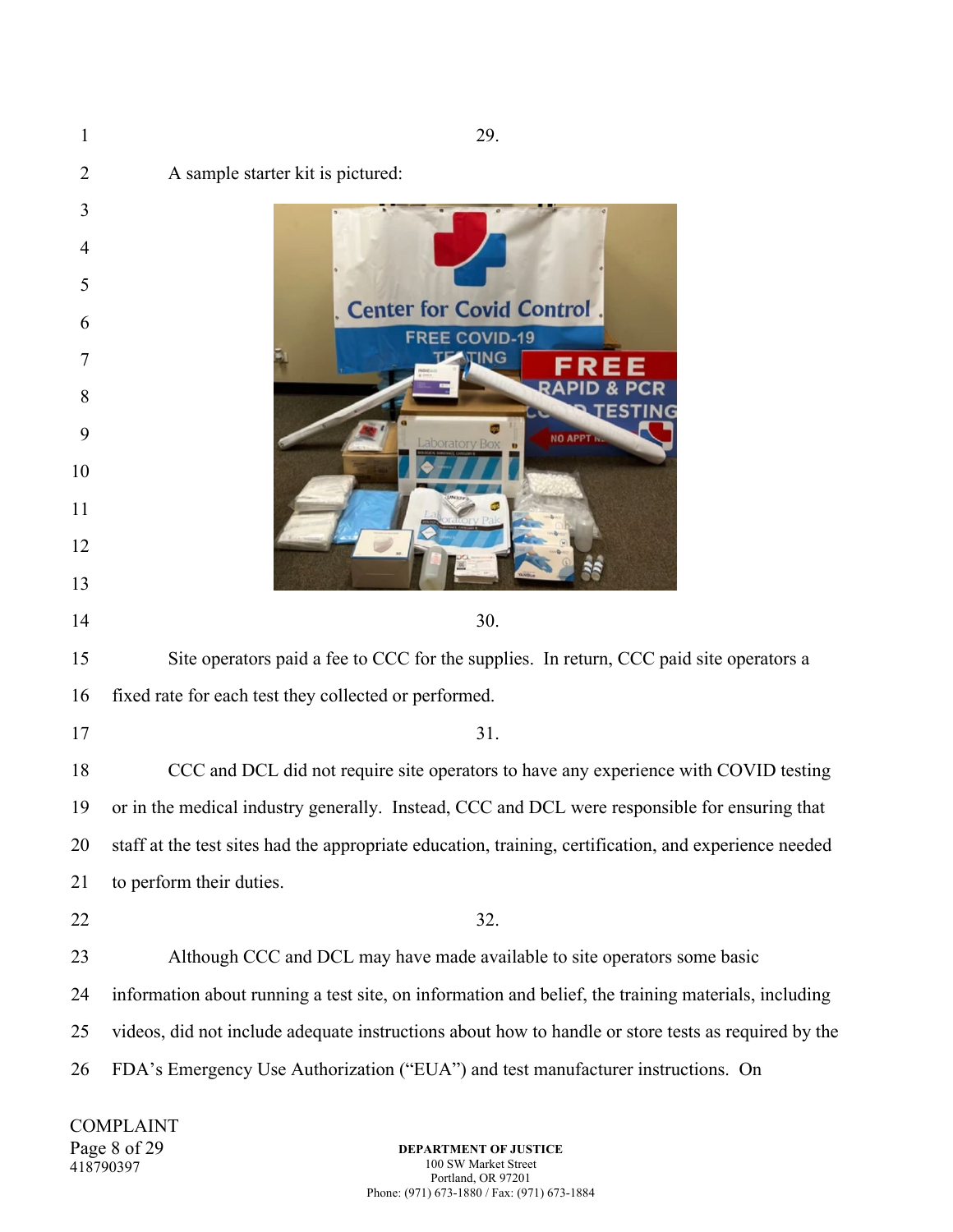1 29. 2 A sample starter kit is pictured: 3 4 5 **Center for Covid Control** 6 **FREE COVID-19 ING** 7 8 9 **NO APP** 10 11 12 13 30. 14 15 Site operators paid a fee to CCC for the supplies. In return, CCC paid site operators a 16 fixed rate for each test they collected or performed. 31. 17 18 CCC and DCL did not require site operators to have any experience with COVID testing 19 or in the medical industry generally. Instead, CCC and DCL were responsible for ensuring that 20 staff at the test sites had the appropriate education, training, certification, and experience needed 21 to perform their duties. 32. 22 23 Although CCC and DCL may have made available to site operators some basic 24 information about running a test site, on information and belief, the training materials, including 25 videos, did not include adequate instructions about how to handle or store tests as required by the 26 FDA's Emergency Use Authorization ("EUA") and test manufacturer instructions. On

COMPLAINT Page 8 of 29 418790397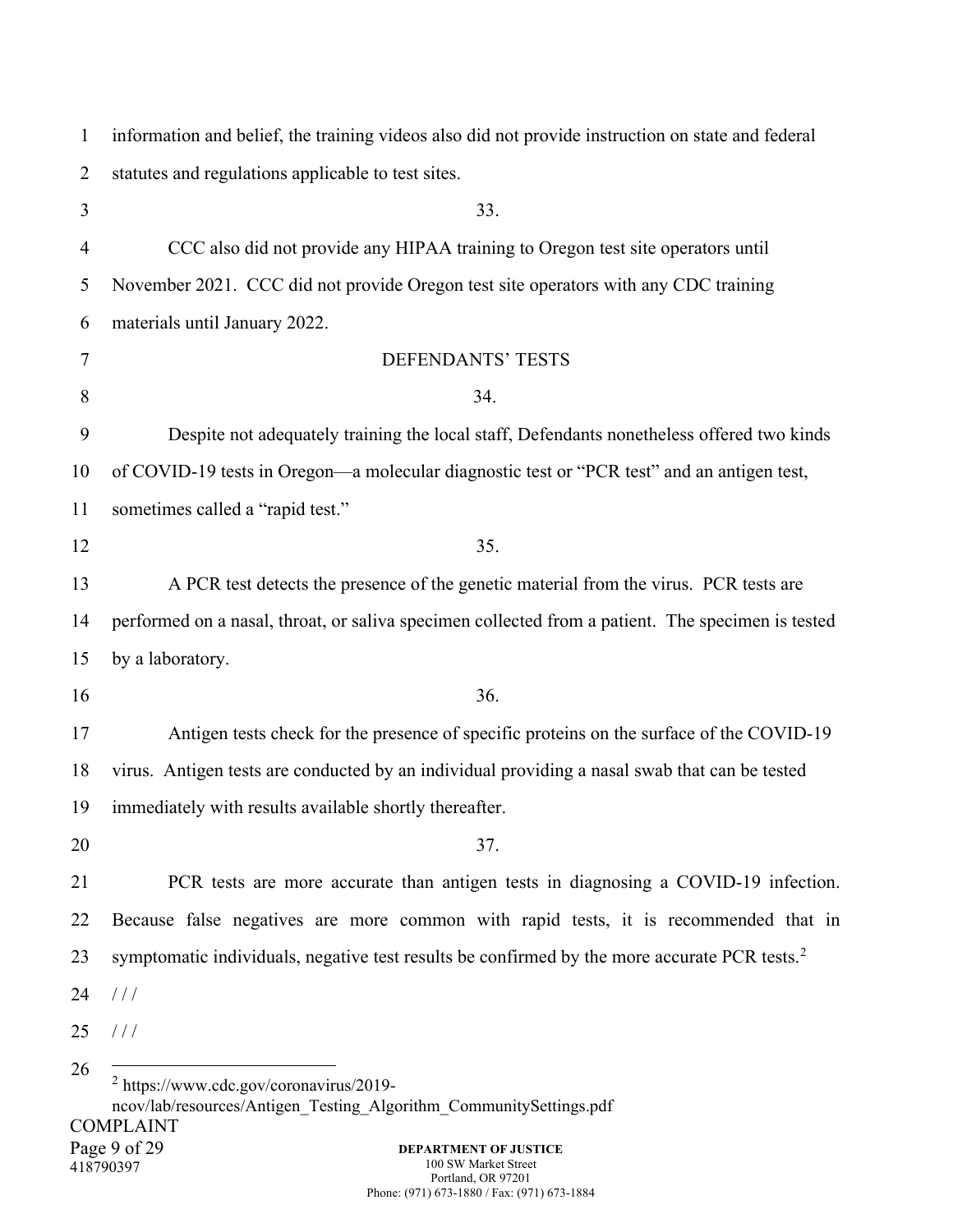| $\mathbf{1}$   | information and belief, the training videos also did not provide instruction on state and federal        |
|----------------|----------------------------------------------------------------------------------------------------------|
| 2              | statutes and regulations applicable to test sites.                                                       |
| 3              | 33.                                                                                                      |
| $\overline{4}$ | CCC also did not provide any HIPAA training to Oregon test site operators until                          |
| 5              | November 2021. CCC did not provide Oregon test site operators with any CDC training                      |
| 6              | materials until January 2022.                                                                            |
| 7              | DEFENDANTS' TESTS                                                                                        |
| 8              | 34.                                                                                                      |
| 9              | Despite not adequately training the local staff, Defendants nonetheless offered two kinds                |
| 10             | of COVID-19 tests in Oregon—a molecular diagnostic test or "PCR test" and an antigen test,               |
| 11             | sometimes called a "rapid test."                                                                         |
| 12             | 35.                                                                                                      |
| 13             | A PCR test detects the presence of the genetic material from the virus. PCR tests are                    |
| 14             | performed on a nasal, throat, or saliva specimen collected from a patient. The specimen is tested        |
| 15             | by a laboratory.                                                                                         |
| 16             | 36.                                                                                                      |
| 17             | Antigen tests check for the presence of specific proteins on the surface of the COVID-19                 |
| 18             | virus. Antigen tests are conducted by an individual providing a nasal swab that can be tested            |
| 19             | immediately with results available shortly thereafter.                                                   |
| 20             | 37.                                                                                                      |
| 21             | PCR tests are more accurate than antigen tests in diagnosing a COVID-19 infection.                       |
| 22             | Because false negatives are more common with rapid tests, it is recommended that in                      |
| 23             | symptomatic individuals, negative test results be confirmed by the more accurate PCR tests. <sup>2</sup> |
| 24             | 111                                                                                                      |
| 25             | 111                                                                                                      |
| 26             | $2$ https://www.cdc.gov/coronavirus/2019-                                                                |
|                | ncov/lab/resources/Antigen Testing Algorithm CommunitySettings.pdf                                       |
|                | <b>COMPLAINT</b><br>Page 9 of 29<br>DEPARTMENT OF JUSTICE                                                |

<span id="page-8-0"></span>418790397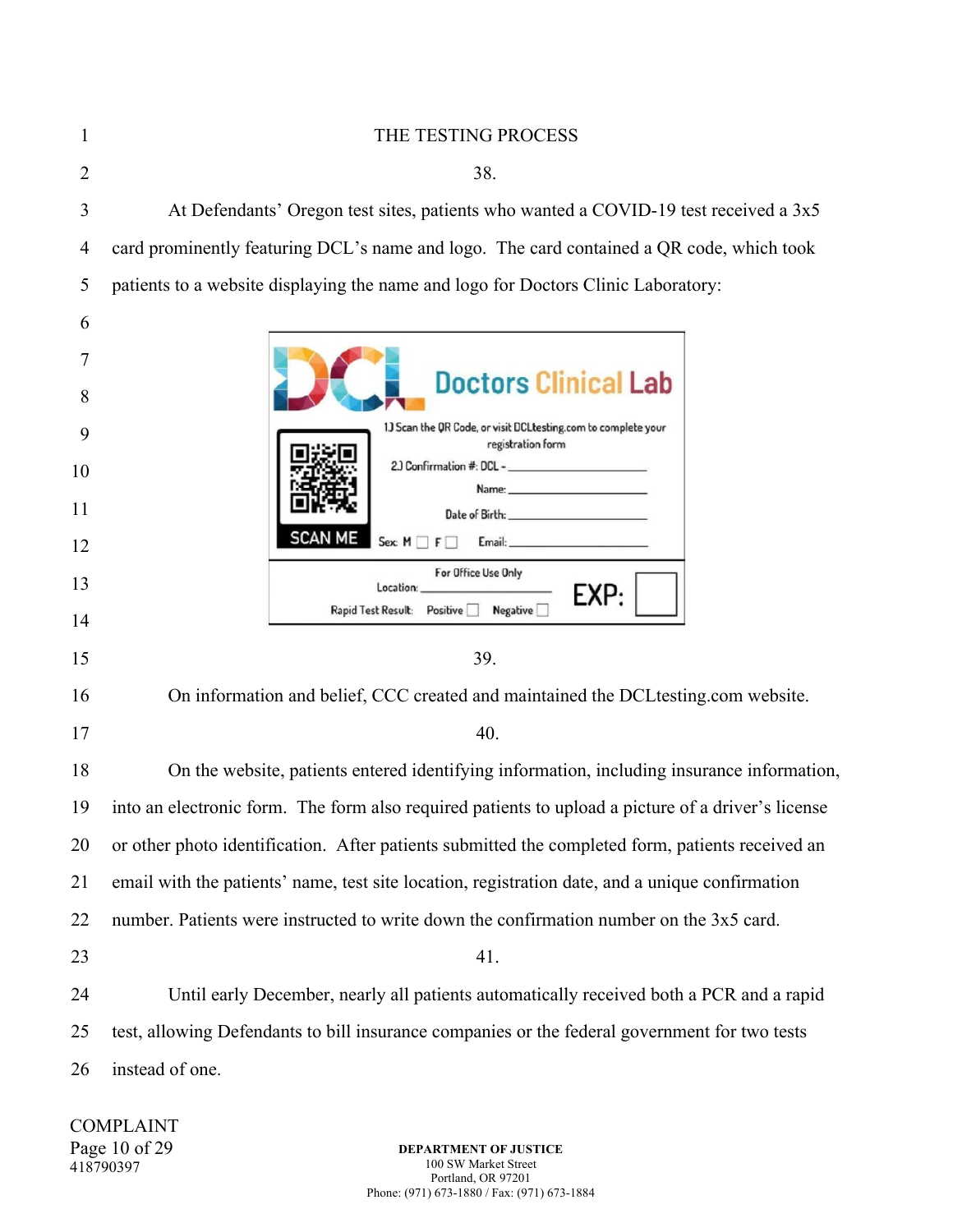| THE TESTING PROCESS                                                                                                                                                                                                                                                                                                                             |
|-------------------------------------------------------------------------------------------------------------------------------------------------------------------------------------------------------------------------------------------------------------------------------------------------------------------------------------------------|
| 38.                                                                                                                                                                                                                                                                                                                                             |
| At Defendants' Oregon test sites, patients who wanted a COVID-19 test received a 3x5                                                                                                                                                                                                                                                            |
| card prominently featuring DCL's name and logo. The card contained a QR code, which took                                                                                                                                                                                                                                                        |
| patients to a website displaying the name and logo for Doctors Clinic Laboratory:                                                                                                                                                                                                                                                               |
|                                                                                                                                                                                                                                                                                                                                                 |
| <b>Doctors Clinical Lab</b>                                                                                                                                                                                                                                                                                                                     |
| 1.) Scan the QR Code, or visit DCLtesting.com to complete your                                                                                                                                                                                                                                                                                  |
| registration form                                                                                                                                                                                                                                                                                                                               |
| Name: Name and the state of the state of the state of the state of the state of the state of the state of the<br>Date of Birth: and the state of the state of the state of the state of the state of the state of the state of the state of the state of the state of the state of the state of the state of the state of the state of the stat |
| <b>SCAN ME</b><br>Sex: M<br>Email:<br>$F \Box$                                                                                                                                                                                                                                                                                                  |
| For Office Use Only<br>Location:<br>EXP:                                                                                                                                                                                                                                                                                                        |
| Rapid Test Result: Positive<br><b>Negative</b>                                                                                                                                                                                                                                                                                                  |
| 39.                                                                                                                                                                                                                                                                                                                                             |
| On information and belief, CCC created and maintained the DCL testing.com website.                                                                                                                                                                                                                                                              |
| 40.                                                                                                                                                                                                                                                                                                                                             |
| On the website, patients entered identifying information, including insurance information,                                                                                                                                                                                                                                                      |
| into an electronic form. The form also required patients to upload a picture of a driver's license                                                                                                                                                                                                                                              |
| or other photo identification. After patients submitted the completed form, patients received an                                                                                                                                                                                                                                                |
| email with the patients' name, test site location, registration date, and a unique confirmation                                                                                                                                                                                                                                                 |
| number. Patients were instructed to write down the confirmation number on the 3x5 card.                                                                                                                                                                                                                                                         |
| 41.                                                                                                                                                                                                                                                                                                                                             |
| Until early December, nearly all patients automatically received both a PCR and a rapid                                                                                                                                                                                                                                                         |
| test, allowing Defendants to bill insurance companies or the federal government for two tests                                                                                                                                                                                                                                                   |
| instead of one.                                                                                                                                                                                                                                                                                                                                 |
|                                                                                                                                                                                                                                                                                                                                                 |

COMPLAINT Page 10 of 29 418790397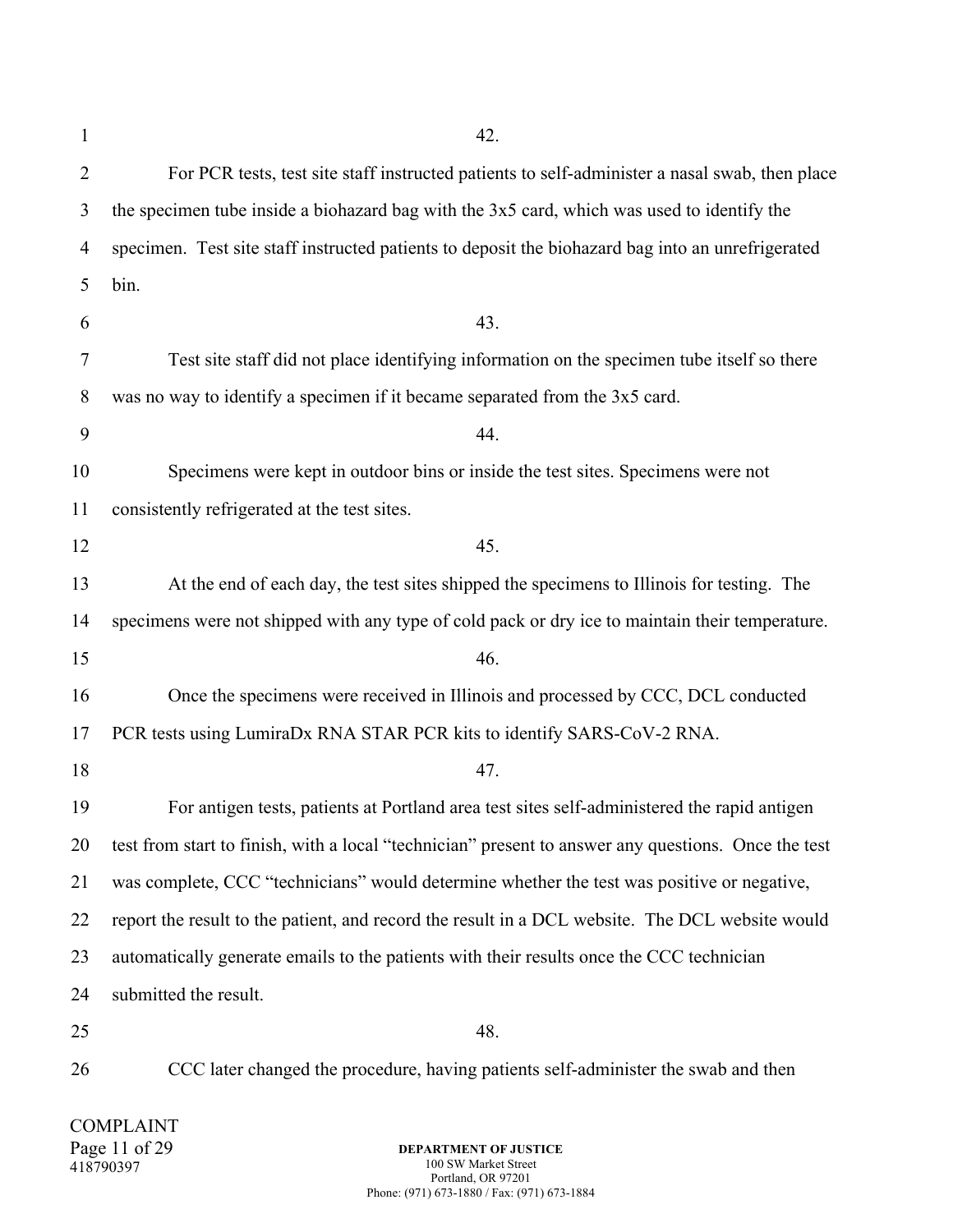| $\mathbf{1}$ | 42.                                                                                                 |
|--------------|-----------------------------------------------------------------------------------------------------|
| 2            | For PCR tests, test site staff instructed patients to self-administer a nasal swab, then place      |
| 3            | the specimen tube inside a biohazard bag with the 3x5 card, which was used to identify the          |
| 4            | specimen. Test site staff instructed patients to deposit the biohazard bag into an unrefrigerated   |
| 5            | bin.                                                                                                |
| 6            | 43.                                                                                                 |
| 7            | Test site staff did not place identifying information on the specimen tube itself so there          |
| 8            | was no way to identify a specimen if it became separated from the 3x5 card.                         |
| 9            | 44.                                                                                                 |
| 10           | Specimens were kept in outdoor bins or inside the test sites. Specimens were not                    |
| 11           | consistently refrigerated at the test sites.                                                        |
| 12           | 45.                                                                                                 |
| 13           | At the end of each day, the test sites shipped the specimens to Illinois for testing. The           |
| 14           | specimens were not shipped with any type of cold pack or dry ice to maintain their temperature.     |
| 15           | 46.                                                                                                 |
| 16           | Once the specimens were received in Illinois and processed by CCC, DCL conducted                    |
| 17           | PCR tests using LumiraDx RNA STAR PCR kits to identify SARS-CoV-2 RNA.                              |
| 18           | 47.                                                                                                 |
| 19           | For antigen tests, patients at Portland area test sites self-administered the rapid antigen         |
| 20           | test from start to finish, with a local "technician" present to answer any questions. Once the test |
| 21           | was complete, CCC "technicians" would determine whether the test was positive or negative,          |
| 22           | report the result to the patient, and record the result in a DCL website. The DCL website would     |
| 23           | automatically generate emails to the patients with their results once the CCC technician            |
| 24           | submitted the result.                                                                               |
| 25           | 48.                                                                                                 |
| 26           | CCC later changed the procedure, having patients self-administer the swab and then                  |
|              |                                                                                                     |

COMPLAINT Page 11 of 29 418790397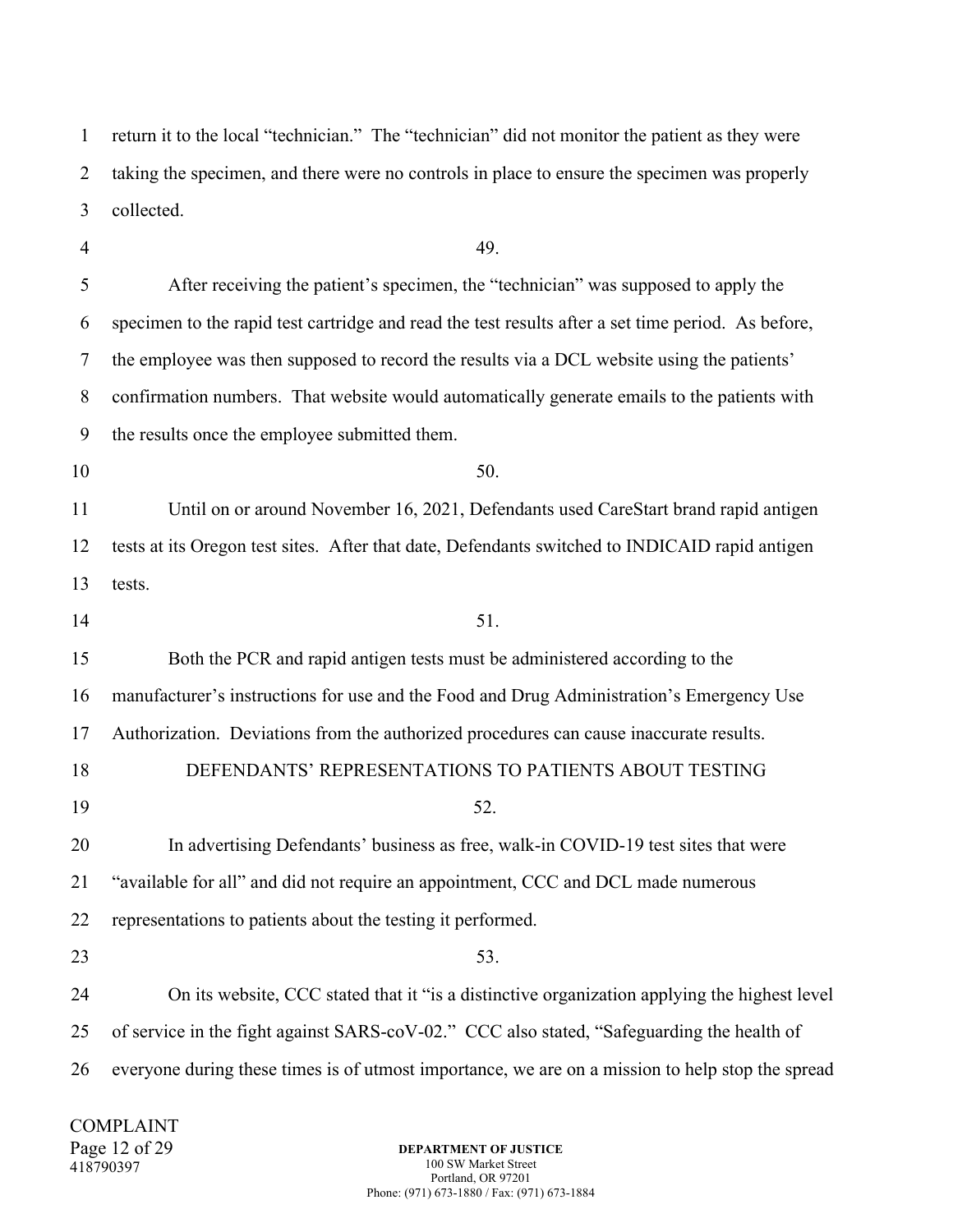1 2 3 return it to the local "technician." The "technician" did not monitor the patient as they were taking the specimen, and there were no controls in place to ensure the specimen was properly collected.

4 5 6 7 8 9 10 11 12 13 14 15 16 17 18 19 20 49. After receiving the patient's specimen, the "technician" was supposed to apply the specimen to the rapid test cartridge and read the test results after a set time period. As before, the employee was then supposed to record the results via a DCL website using the patients' confirmation numbers. That website would automatically generate emails to the patients with the results once the employee submitted them. 50. Until on or around November 16, 2021, Defendants used CareStart brand rapid antigen tests at its Oregon test sites. After that date, Defendants switched to INDICAID rapid antigen tests. 51. Both the PCR and rapid antigen tests must be administered according to the manufacturer's instructions for use and the Food and Drug Administration's Emergency Use Authorization. Deviations from the authorized procedures can cause inaccurate results. DEFENDANTS' REPRESENTATIONS TO PATIENTS ABOUT TESTING 52. In advertising Defendants' business as free, walk-in COVID-19 test sites that were

21 "available for all" and did not require an appointment, CCC and DCL made numerous

22 representations to patients about the testing it performed.

23 53.

24 25 26 On its website, CCC stated that it "is a distinctive organization applying the highest level of service in the fight against SARS-coV-02." CCC also stated, "Safeguarding the health of everyone during these times is of utmost importance, we are on a mission to help stop the spread

COMPLAINT Page 12 of 29 418790397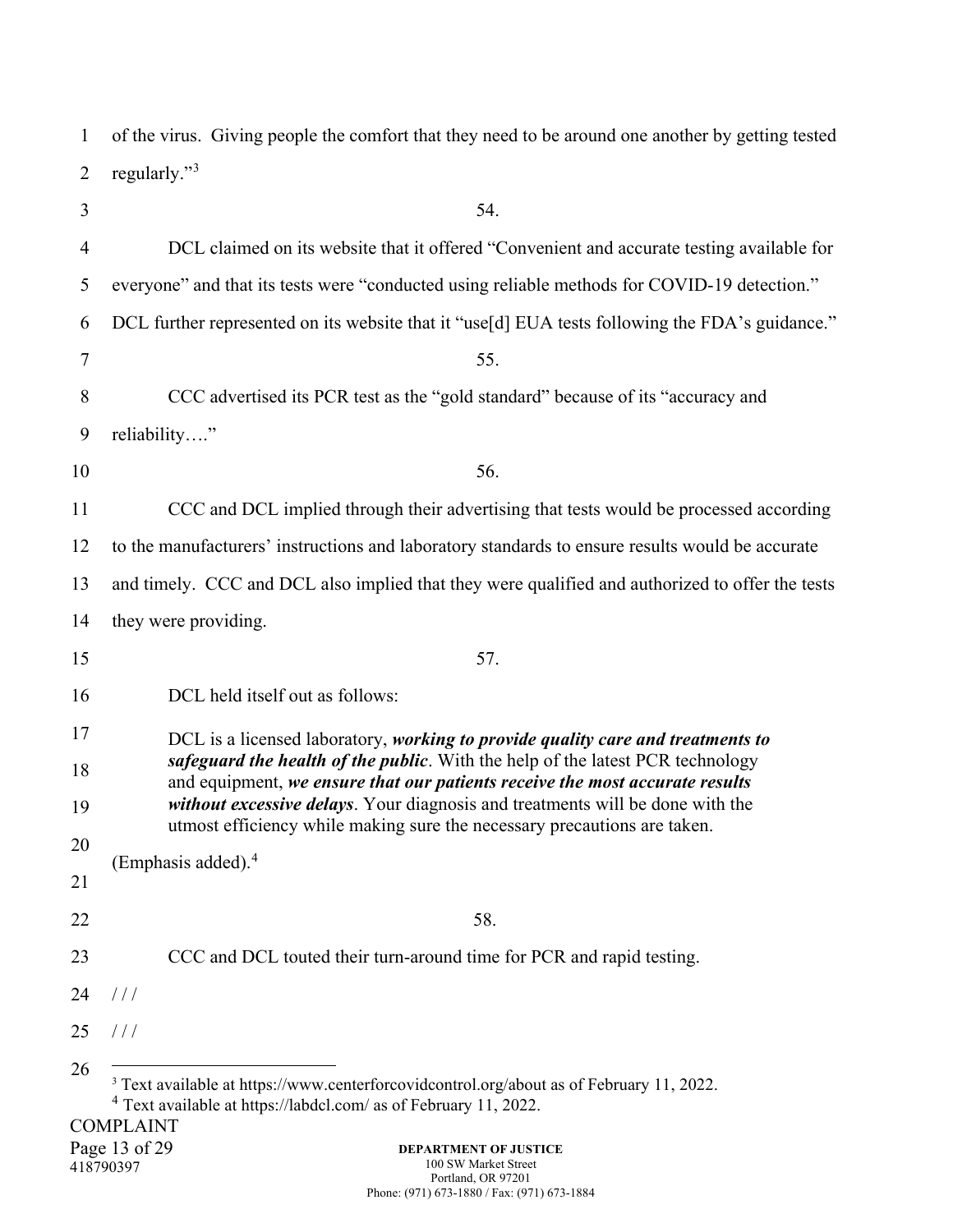| 1              | of the virus. Giving people the comfort that they need to be around one another by getting tested                                                              |
|----------------|----------------------------------------------------------------------------------------------------------------------------------------------------------------|
| 2              | regularly." <sup>3</sup>                                                                                                                                       |
| $\mathfrak{Z}$ | 54.                                                                                                                                                            |
| $\overline{4}$ | DCL claimed on its website that it offered "Convenient and accurate testing available for                                                                      |
| 5              | everyone" and that its tests were "conducted using reliable methods for COVID-19 detection."                                                                   |
| 6              | DCL further represented on its website that it "use[d] EUA tests following the FDA's guidance."                                                                |
| $\tau$         | 55.                                                                                                                                                            |
| 8              | CCC advertised its PCR test as the "gold standard" because of its "accuracy and                                                                                |
| 9              | reliability"                                                                                                                                                   |
| 10             | 56.                                                                                                                                                            |
| 11             | CCC and DCL implied through their advertising that tests would be processed according                                                                          |
| 12             | to the manufacturers' instructions and laboratory standards to ensure results would be accurate                                                                |
| 13             | and timely. CCC and DCL also implied that they were qualified and authorized to offer the tests                                                                |
| 14             | they were providing.                                                                                                                                           |
| 15             | 57.                                                                                                                                                            |
| 16             | DCL held itself out as follows:                                                                                                                                |
| 17             | DCL is a licensed laboratory, working to provide quality care and treatments to                                                                                |
| 18             | safeguard the health of the public. With the help of the latest PCR technology<br>and equipment, we ensure that our patients receive the most accurate results |
| 19             | without excessive delays. Your diagnosis and treatments will be done with the<br>utmost efficiency while making sure the necessary precautions are taken.      |
| 20             | (Emphasis added). <sup>4</sup>                                                                                                                                 |
| 21             |                                                                                                                                                                |
| 22             | 58.                                                                                                                                                            |
| 23             | CCC and DCL touted their turn-around time for PCR and rapid testing.                                                                                           |
| 24             | //                                                                                                                                                             |
| 25             | 111                                                                                                                                                            |
| 26             | <sup>3</sup> Text available at https://www.centerforcovidcontrol.org/about as of February 11, 2022.                                                            |
|                | <sup>4</sup> Text available at https://labdcl.com/ as of February 11, 2022.<br><b>COMPLAINT</b>                                                                |

<span id="page-12-1"></span><span id="page-12-0"></span>Page 13 of 29 418790397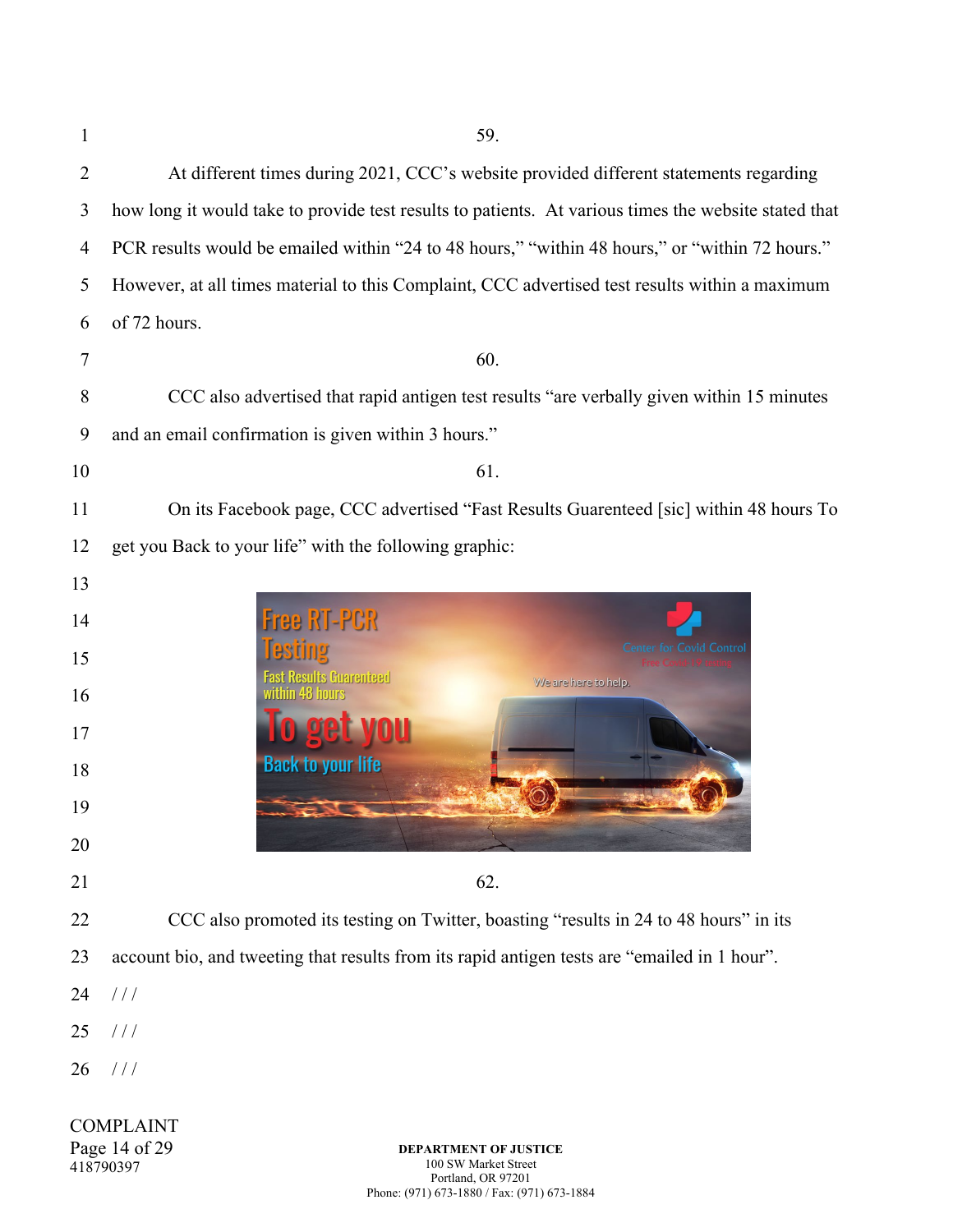| ш |  |
|---|--|
|   |  |

| 1  | 59.                                                                                                  |
|----|------------------------------------------------------------------------------------------------------|
| 2  | At different times during 2021, CCC's website provided different statements regarding                |
| 3  | how long it would take to provide test results to patients. At various times the website stated that |
| 4  | PCR results would be emailed within "24 to 48 hours," "within 48 hours," or "within 72 hours."       |
| 5  | However, at all times material to this Complaint, CCC advertised test results within a maximum       |
| 6  | of 72 hours.                                                                                         |
| 7  | 60.                                                                                                  |
| 8  | CCC also advertised that rapid antigen test results "are verbally given within 15 minutes            |
| 9  | and an email confirmation is given within 3 hours."                                                  |
| 10 | 61.                                                                                                  |
| 11 | On its Facebook page, CCC advertised "Fast Results Guarenteed [sic] within 48 hours To               |
| 12 | get you Back to your life" with the following graphic:                                               |
| 13 |                                                                                                      |
| 14 | <b>Free RT-PCR</b>                                                                                   |
| 15 | esting<br>Center for Covid Control<br><b>Fast Results Guarenteed</b>                                 |
| 16 | We are here to help.<br>within 48 hours.                                                             |
| 17 |                                                                                                      |
| 18 | <b>Back to your life</b>                                                                             |
| 19 |                                                                                                      |
| 20 |                                                                                                      |
| 21 | 62.                                                                                                  |
| 22 | CCC also promoted its testing on Twitter, boasting "results in 24 to 48 hours" in its                |
| 23 | account bio, and tweeting that results from its rapid antigen tests are "emailed in 1 hour".         |
| 24 | 111                                                                                                  |
| 25 | //                                                                                                   |
| 26 | 111                                                                                                  |
|    | COMPI AINT                                                                                           |

COMPLAINT Page 14 of 29 418790397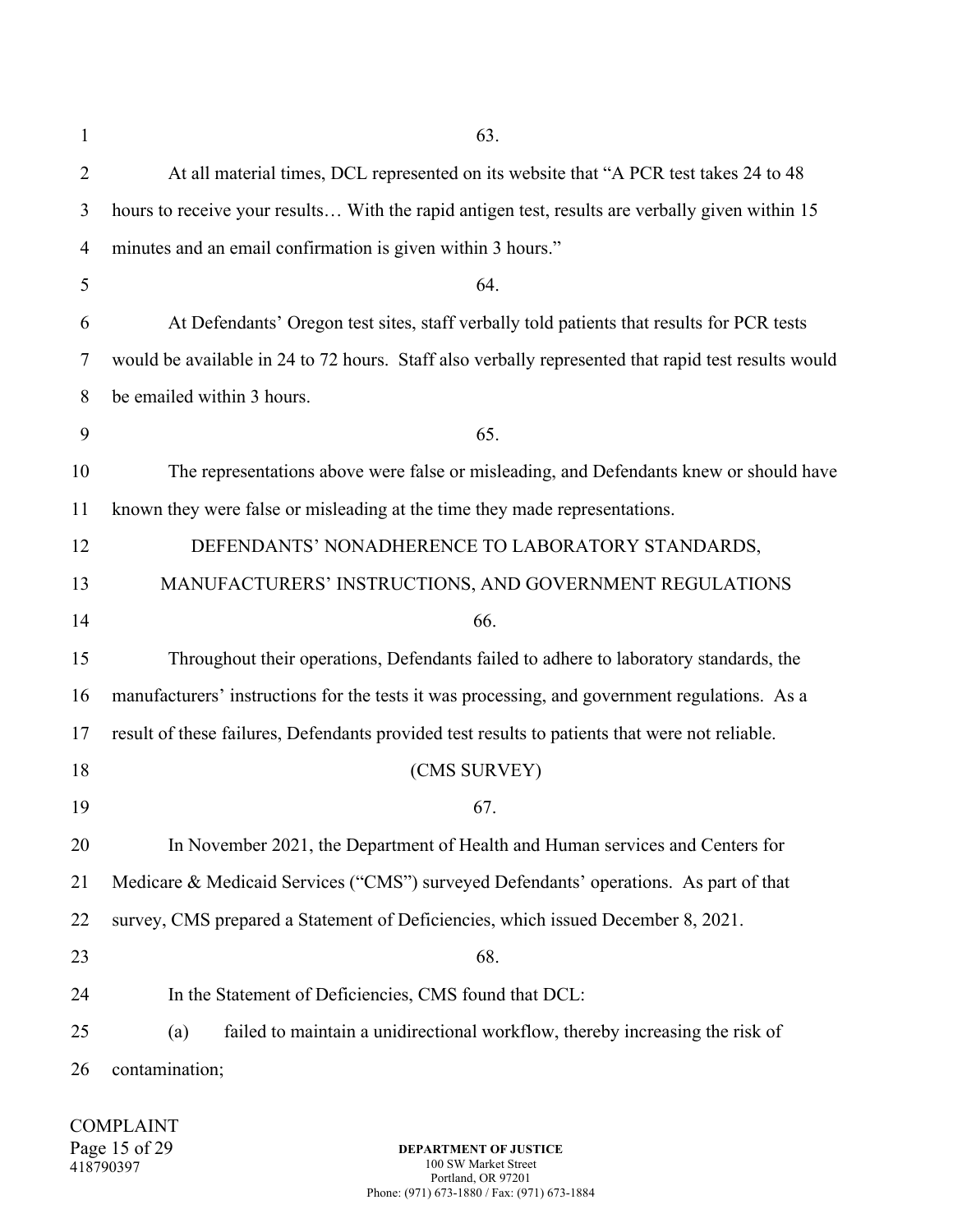| $\mathbf{1}$   | 63.                                                                                                 |
|----------------|-----------------------------------------------------------------------------------------------------|
| 2              | At all material times, DCL represented on its website that "A PCR test takes 24 to 48               |
| 3              | hours to receive your results With the rapid antigen test, results are verbally given within 15     |
| $\overline{4}$ | minutes and an email confirmation is given within 3 hours."                                         |
| 5              | 64.                                                                                                 |
| 6              | At Defendants' Oregon test sites, staff verbally told patients that results for PCR tests           |
| 7              | would be available in 24 to 72 hours. Staff also verbally represented that rapid test results would |
| 8              | be emailed within 3 hours.                                                                          |
| 9              | 65.                                                                                                 |
| 10             | The representations above were false or misleading, and Defendants knew or should have              |
| 11             | known they were false or misleading at the time they made representations.                          |
| 12             | DEFENDANTS' NONADHERENCE TO LABORATORY STANDARDS,                                                   |
| 13             | MANUFACTURERS' INSTRUCTIONS, AND GOVERNMENT REGULATIONS                                             |
| 14             | 66.                                                                                                 |
| 15             | Throughout their operations, Defendants failed to adhere to laboratory standards, the               |
| 16             | manufacturers' instructions for the tests it was processing, and government regulations. As a       |
| 17             | result of these failures, Defendants provided test results to patients that were not reliable.      |
| 18             | (CMS SURVEY)                                                                                        |
| 19             | 67.                                                                                                 |
| 20             | In November 2021, the Department of Health and Human services and Centers for                       |
| 21             | Medicare & Medicaid Services ("CMS") surveyed Defendants' operations. As part of that               |
| 22             | survey, CMS prepared a Statement of Deficiencies, which issued December 8, 2021.                    |
| 23             | 68.                                                                                                 |
| 24             | In the Statement of Deficiencies, CMS found that DCL:                                               |
| 25             | failed to maintain a unidirectional workflow, thereby increasing the risk of<br>(a)                 |
| 26             | contamination;                                                                                      |

COMPLAINT Page 15 of 29 418790397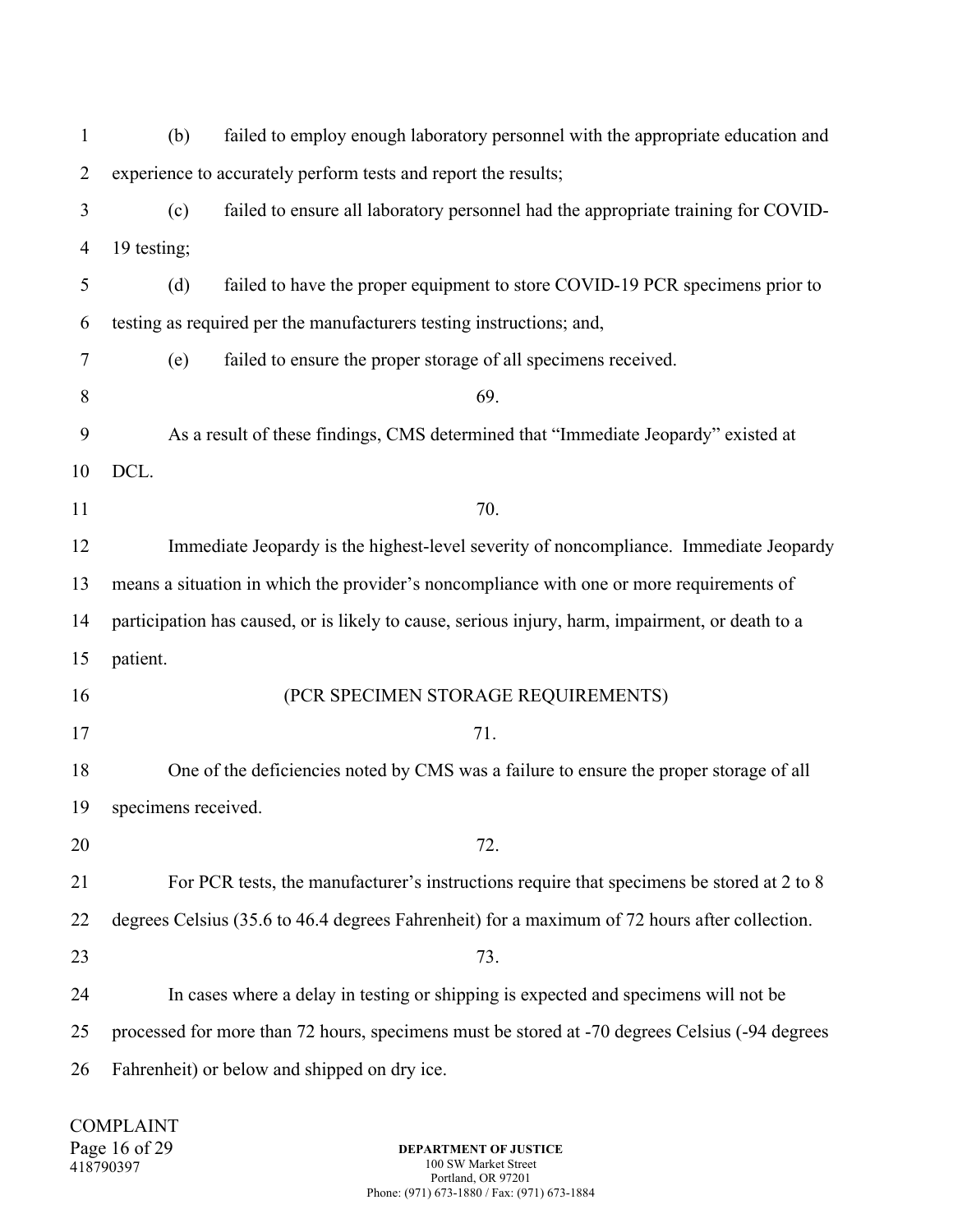| $\mathbf{1}$   | (b)<br>failed to employ enough laboratory personnel with the appropriate education and           |  |  |  |
|----------------|--------------------------------------------------------------------------------------------------|--|--|--|
| $\overline{2}$ | experience to accurately perform tests and report the results;                                   |  |  |  |
| 3              | (c)<br>failed to ensure all laboratory personnel had the appropriate training for COVID-         |  |  |  |
| 4              | 19 testing;                                                                                      |  |  |  |
| 5              | failed to have the proper equipment to store COVID-19 PCR specimens prior to<br>(d)              |  |  |  |
| 6              | testing as required per the manufacturers testing instructions; and,                             |  |  |  |
| 7              | (e)<br>failed to ensure the proper storage of all specimens received.                            |  |  |  |
| 8              | 69.                                                                                              |  |  |  |
| 9              | As a result of these findings, CMS determined that "Immediate Jeopardy" existed at               |  |  |  |
| 10             | DCL.                                                                                             |  |  |  |
| 11             | 70.                                                                                              |  |  |  |
| 12             | Immediate Jeopardy is the highest-level severity of noncompliance. Immediate Jeopardy            |  |  |  |
| 13             | means a situation in which the provider's noncompliance with one or more requirements of         |  |  |  |
| 14             | participation has caused, or is likely to cause, serious injury, harm, impairment, or death to a |  |  |  |
| 15             | patient.                                                                                         |  |  |  |
| 16             | (PCR SPECIMEN STORAGE REQUIREMENTS)                                                              |  |  |  |
| 17             | 71.                                                                                              |  |  |  |
| 18             | One of the deficiencies noted by CMS was a failure to ensure the proper storage of all           |  |  |  |
| 19             | specimens received.                                                                              |  |  |  |
| 20             | 72.                                                                                              |  |  |  |
| 21             | For PCR tests, the manufacturer's instructions require that specimens be stored at 2 to 8        |  |  |  |
| 22             | degrees Celsius (35.6 to 46.4 degrees Fahrenheit) for a maximum of 72 hours after collection.    |  |  |  |
| 23             | 73.                                                                                              |  |  |  |
| 24             | In cases where a delay in testing or shipping is expected and specimens will not be              |  |  |  |
| 25             | processed for more than 72 hours, specimens must be stored at -70 degrees Celsius (-94 degrees   |  |  |  |
| 26             | Fahrenheit) or below and shipped on dry ice.                                                     |  |  |  |

COMPLAINT Page 16 of 29 418790397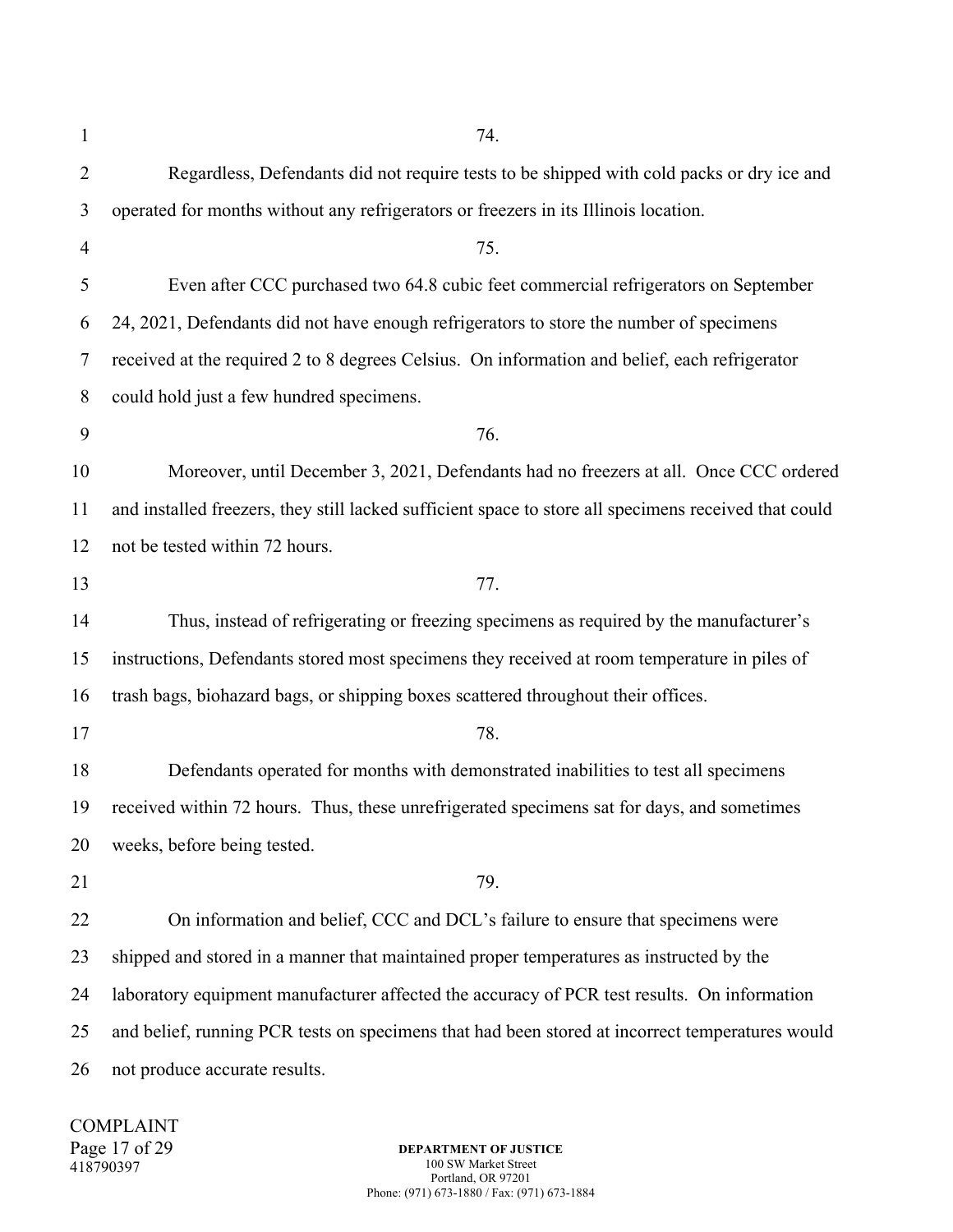| $\mathbf{1}$   | 74.                                                                                                   |  |
|----------------|-------------------------------------------------------------------------------------------------------|--|
| $\overline{2}$ | Regardless, Defendants did not require tests to be shipped with cold packs or dry ice and             |  |
| 3              | operated for months without any refrigerators or freezers in its Illinois location.                   |  |
| $\overline{4}$ | 75.                                                                                                   |  |
| 5              | Even after CCC purchased two 64.8 cubic feet commercial refrigerators on September                    |  |
| 6              | 24, 2021, Defendants did not have enough refrigerators to store the number of specimens               |  |
| 7              | received at the required 2 to 8 degrees Celsius. On information and belief, each refrigerator         |  |
| 8              | could hold just a few hundred specimens.                                                              |  |
| 9              | 76.                                                                                                   |  |
| 10             | Moreover, until December 3, 2021, Defendants had no freezers at all. Once CCC ordered                 |  |
| 11             | and installed freezers, they still lacked sufficient space to store all specimens received that could |  |
| 12             | not be tested within 72 hours.                                                                        |  |
| 13             | 77.                                                                                                   |  |
| 14             | Thus, instead of refrigerating or freezing specimens as required by the manufacturer's                |  |
| 15             | instructions, Defendants stored most specimens they received at room temperature in piles of          |  |
| 16             | trash bags, biohazard bags, or shipping boxes scattered throughout their offices.                     |  |
| 17             | 78.                                                                                                   |  |
| 18             | Defendants operated for months with demonstrated inabilities to test all specimens                    |  |
| 19             | received within 72 hours. Thus, these unrefrigerated specimens sat for days, and sometimes            |  |
| 20             | weeks, before being tested.                                                                           |  |
| 21             | 79.                                                                                                   |  |
| 22             | On information and belief, CCC and DCL's failure to ensure that specimens were                        |  |
| 23             | shipped and stored in a manner that maintained proper temperatures as instructed by the               |  |
| 24             | laboratory equipment manufacturer affected the accuracy of PCR test results. On information           |  |
| 25             | and belief, running PCR tests on specimens that had been stored at incorrect temperatures would       |  |
| 26             | not produce accurate results.                                                                         |  |

COMPLAINT Page 17 of 29 418790397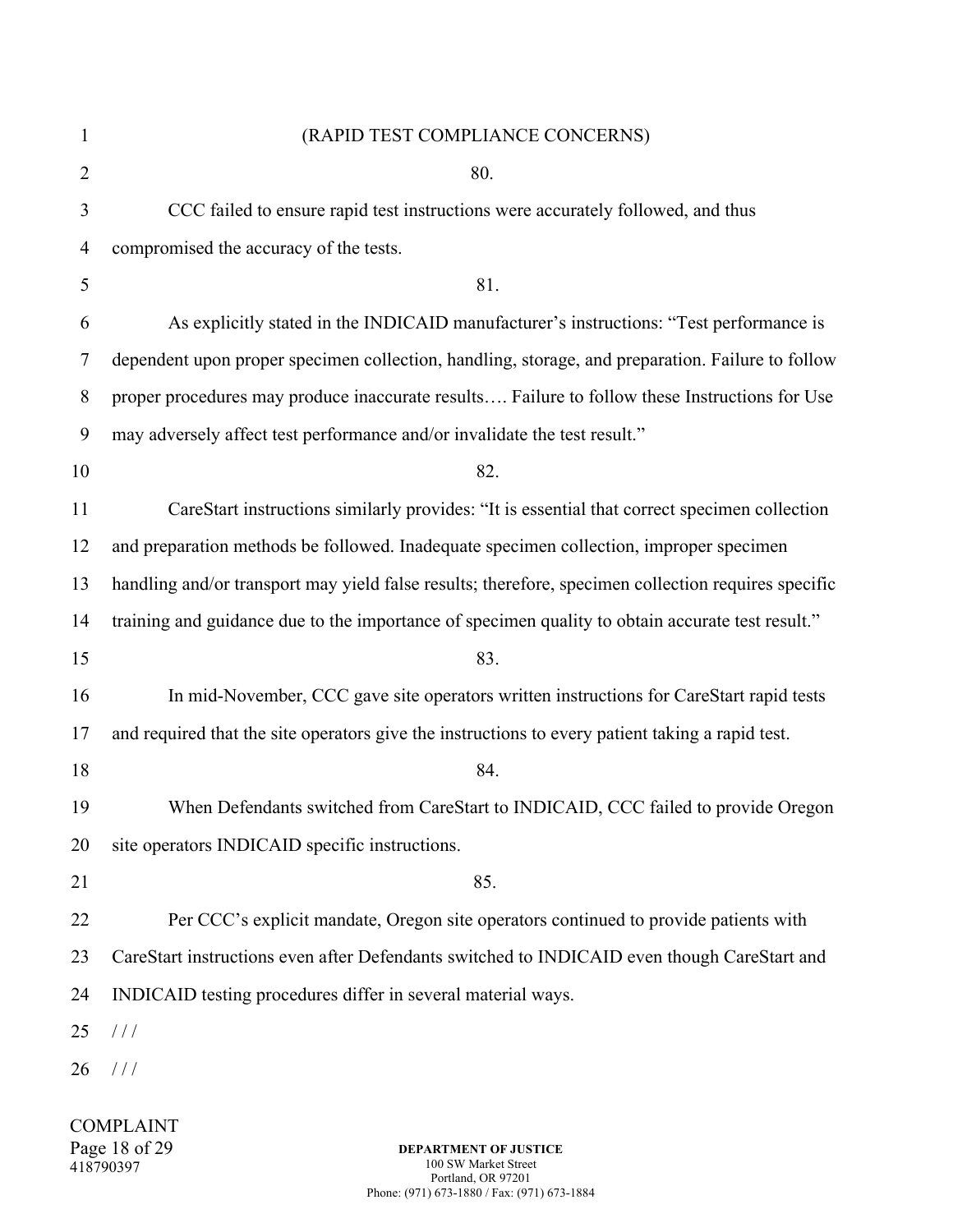| 1              | (RAPID TEST COMPLIANCE CONCERNS)                                                                    |  |
|----------------|-----------------------------------------------------------------------------------------------------|--|
| $\overline{2}$ | 80.                                                                                                 |  |
| 3              | CCC failed to ensure rapid test instructions were accurately followed, and thus                     |  |
| $\overline{4}$ | compromised the accuracy of the tests.                                                              |  |
| 5              | 81.                                                                                                 |  |
| 6              | As explicitly stated in the INDICAID manufacturer's instructions: "Test performance is              |  |
| 7              | dependent upon proper specimen collection, handling, storage, and preparation. Failure to follow    |  |
| 8              | proper procedures may produce inaccurate results Failure to follow these Instructions for Use       |  |
| 9              | may adversely affect test performance and/or invalidate the test result."                           |  |
| 10             | 82.                                                                                                 |  |
| 11             | CareStart instructions similarly provides: "It is essential that correct specimen collection        |  |
| 12             | and preparation methods be followed. Inadequate specimen collection, improper specimen              |  |
| 13             | handling and/or transport may yield false results; therefore, specimen collection requires specific |  |
| 14             | training and guidance due to the importance of specimen quality to obtain accurate test result."    |  |
| 15             | 83.                                                                                                 |  |
| 16             | In mid-November, CCC gave site operators written instructions for CareStart rapid tests             |  |
| 17             | and required that the site operators give the instructions to every patient taking a rapid test.    |  |
| 18             | 84.                                                                                                 |  |
| 19             | When Defendants switched from CareStart to INDICAID, CCC failed to provide Oregon                   |  |
| 20             | site operators INDICAID specific instructions.                                                      |  |
| 21             | 85.                                                                                                 |  |
| 22             | Per CCC's explicit mandate, Oregon site operators continued to provide patients with                |  |
| 23             | CareStart instructions even after Defendants switched to INDICAID even though CareStart and         |  |
| 24             | INDICAID testing procedures differ in several material ways.                                        |  |
| 25             | //                                                                                                  |  |
| 26             | 111                                                                                                 |  |
|                |                                                                                                     |  |

COMPLAINT Page 18 of 29 418790397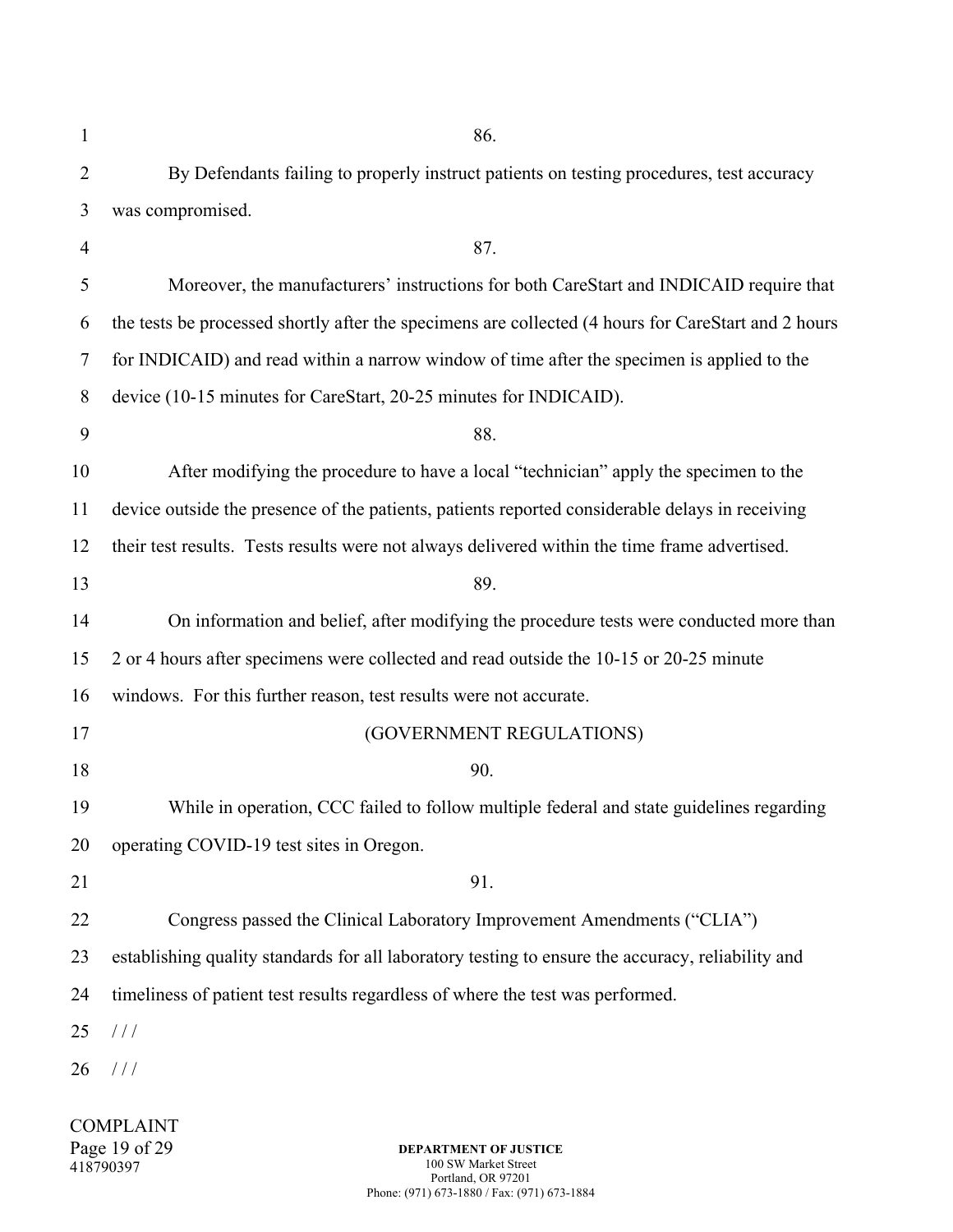| $\mathbf{1}$ | 86.                                                                                                 |  |  |
|--------------|-----------------------------------------------------------------------------------------------------|--|--|
| 2            | By Defendants failing to properly instruct patients on testing procedures, test accuracy            |  |  |
| 3            | was compromised.                                                                                    |  |  |
| 4            | 87.                                                                                                 |  |  |
| 5            | Moreover, the manufacturers' instructions for both CareStart and INDICAID require that              |  |  |
| 6            | the tests be processed shortly after the specimens are collected (4 hours for CareStart and 2 hours |  |  |
| 7            | for INDICAID) and read within a narrow window of time after the specimen is applied to the          |  |  |
| 8            | device (10-15 minutes for CareStart, 20-25 minutes for INDICAID).                                   |  |  |
| 9            | 88.                                                                                                 |  |  |
| 10           | After modifying the procedure to have a local "technician" apply the specimen to the                |  |  |
| 11           | device outside the presence of the patients, patients reported considerable delays in receiving     |  |  |
| 12           | their test results. Tests results were not always delivered within the time frame advertised.       |  |  |
| 13           | 89.                                                                                                 |  |  |
| 14           | On information and belief, after modifying the procedure tests were conducted more than             |  |  |
| 15           | 2 or 4 hours after specimens were collected and read outside the 10-15 or 20-25 minute              |  |  |
| 16           | windows. For this further reason, test results were not accurate.                                   |  |  |
| 17           | (GOVERNMENT REGULATIONS)                                                                            |  |  |
| 18           | 90.                                                                                                 |  |  |
| 19           | While in operation, CCC failed to follow multiple federal and state guidelines regarding            |  |  |
| 20           | operating COVID-19 test sites in Oregon.                                                            |  |  |
| 21           | 91.                                                                                                 |  |  |
| 22           | Congress passed the Clinical Laboratory Improvement Amendments ("CLIA")                             |  |  |
| 23           | establishing quality standards for all laboratory testing to ensure the accuracy, reliability and   |  |  |
| 24           | timeliness of patient test results regardless of where the test was performed.                      |  |  |
| 25           | 111                                                                                                 |  |  |
| 26           | 111                                                                                                 |  |  |
|              |                                                                                                     |  |  |

COMPLAINT Page 19 of 29 418790397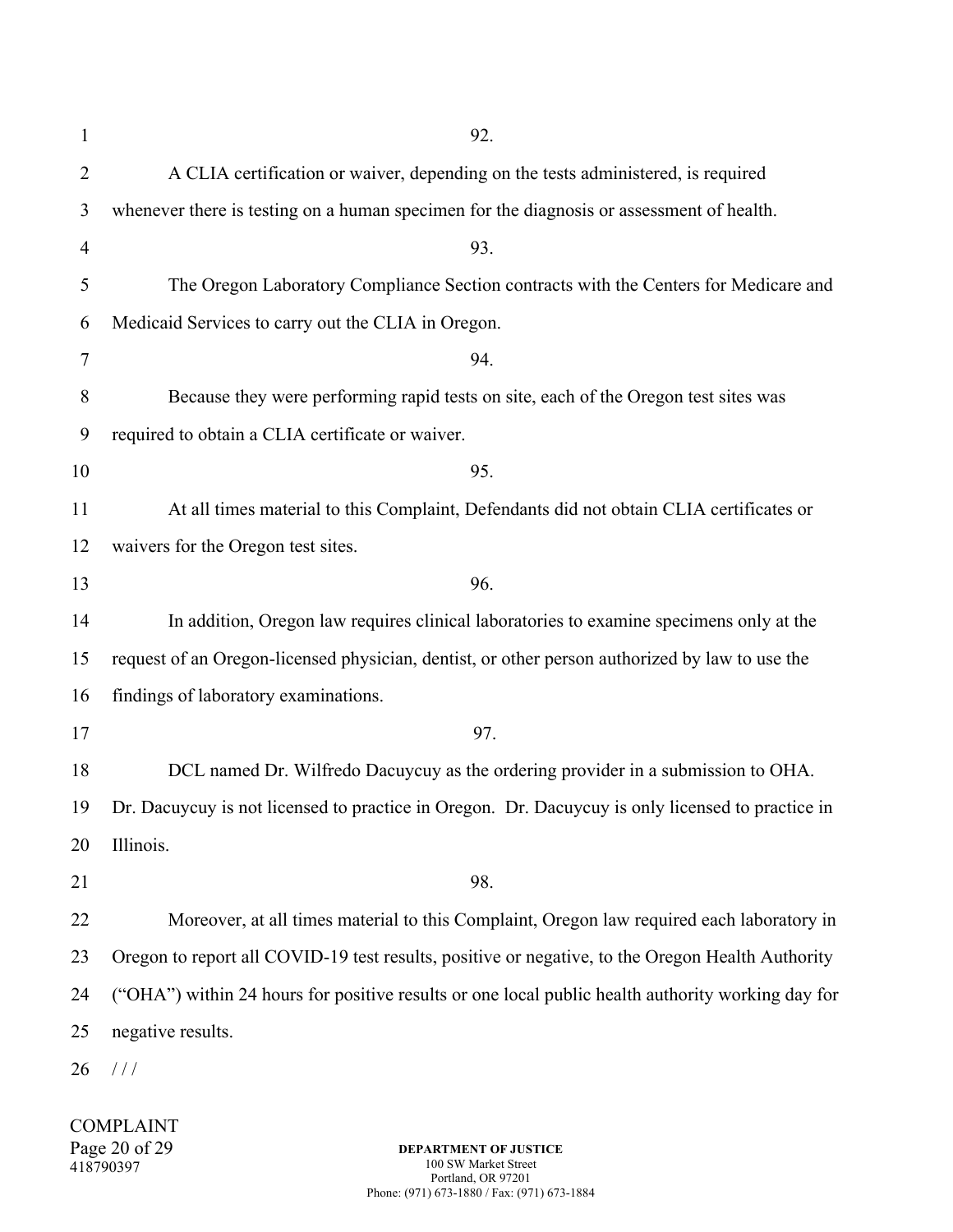| $\mathbf{1}$   | 92.                                                                                               |  |
|----------------|---------------------------------------------------------------------------------------------------|--|
| $\overline{2}$ | A CLIA certification or waiver, depending on the tests administered, is required                  |  |
| 3              | whenever there is testing on a human specimen for the diagnosis or assessment of health.          |  |
| $\overline{4}$ | 93.                                                                                               |  |
| 5              | The Oregon Laboratory Compliance Section contracts with the Centers for Medicare and              |  |
| 6              | Medicaid Services to carry out the CLIA in Oregon.                                                |  |
| 7              | 94.                                                                                               |  |
| 8              | Because they were performing rapid tests on site, each of the Oregon test sites was               |  |
| 9              | required to obtain a CLIA certificate or waiver.                                                  |  |
| 10             | 95.                                                                                               |  |
| 11             | At all times material to this Complaint, Defendants did not obtain CLIA certificates or           |  |
| 12             | waivers for the Oregon test sites.                                                                |  |
| 13             | 96.                                                                                               |  |
| 14             | In addition, Oregon law requires clinical laboratories to examine specimens only at the           |  |
| 15             | request of an Oregon-licensed physician, dentist, or other person authorized by law to use the    |  |
| 16             | findings of laboratory examinations.                                                              |  |
| 17             | 97.                                                                                               |  |
| 18             | DCL named Dr. Wilfredo Dacuycuy as the ordering provider in a submission to OHA.                  |  |
| 19             | Dr. Dacuycuy is not licensed to practice in Oregon. Dr. Dacuycuy is only licensed to practice in  |  |
| 20             | Illinois.                                                                                         |  |
| 21             | 98.                                                                                               |  |
| 22             | Moreover, at all times material to this Complaint, Oregon law required each laboratory in         |  |
| 23             | Oregon to report all COVID-19 test results, positive or negative, to the Oregon Health Authority  |  |
| 24             | ("OHA") within 24 hours for positive results or one local public health authority working day for |  |
| 25             | negative results.                                                                                 |  |
| 26             | 111                                                                                               |  |

COMPLAINT Page 20 of 29 418790397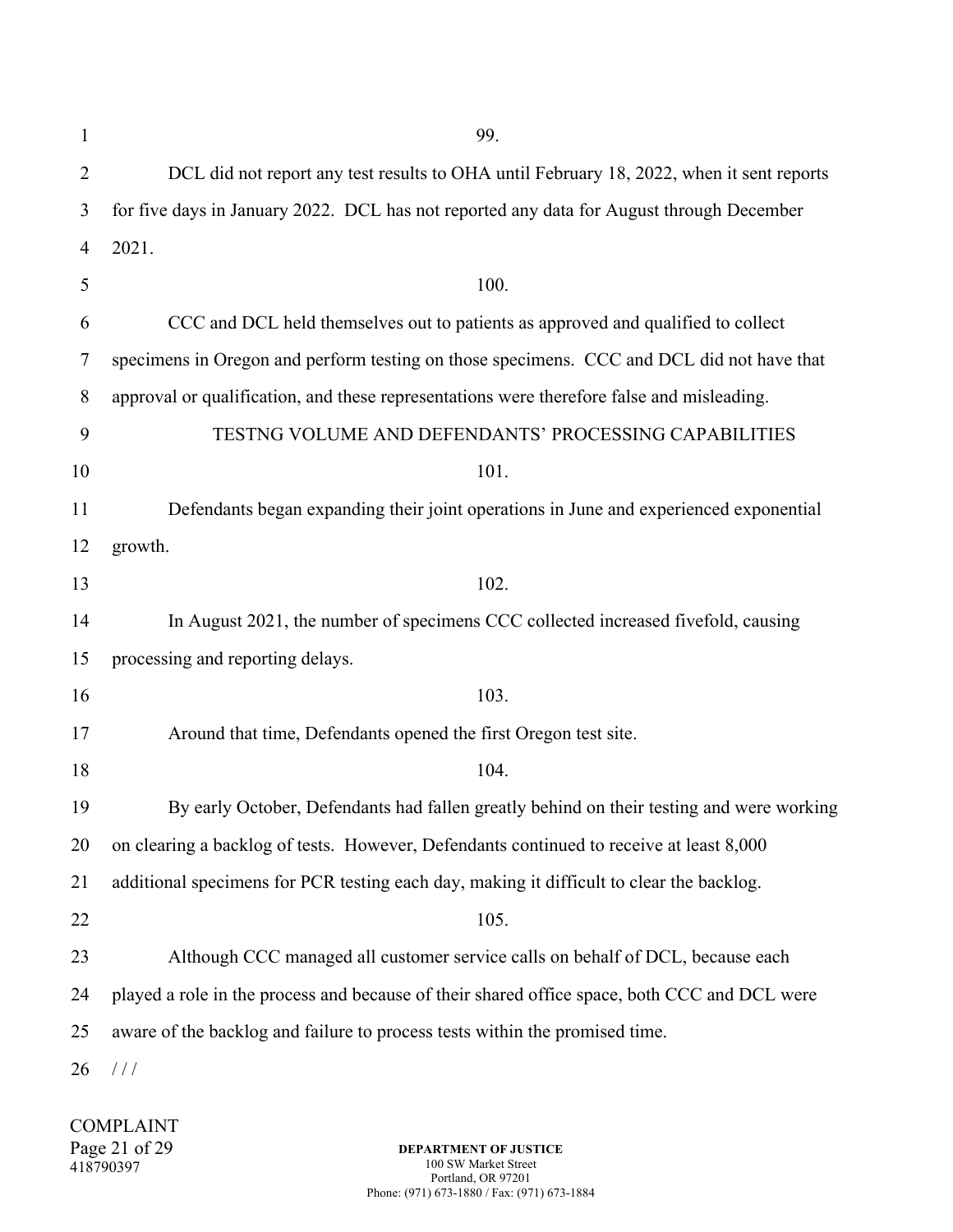| 1              | 99.                                                                                          |  |  |
|----------------|----------------------------------------------------------------------------------------------|--|--|
| $\overline{2}$ | DCL did not report any test results to OHA until February 18, 2022, when it sent reports     |  |  |
| 3              | for five days in January 2022. DCL has not reported any data for August through December     |  |  |
| 4              | 2021.                                                                                        |  |  |
| 5              | 100.                                                                                         |  |  |
| 6              | CCC and DCL held themselves out to patients as approved and qualified to collect             |  |  |
| 7              | specimens in Oregon and perform testing on those specimens. CCC and DCL did not have that    |  |  |
| 8              | approval or qualification, and these representations were therefore false and misleading.    |  |  |
| 9              | TESTNG VOLUME AND DEFENDANTS' PROCESSING CAPABILITIES                                        |  |  |
| 10             | 101.                                                                                         |  |  |
| 11             | Defendants began expanding their joint operations in June and experienced exponential        |  |  |
| 12             | growth.                                                                                      |  |  |
| 13             | 102.                                                                                         |  |  |
| 14             | In August 2021, the number of specimens CCC collected increased fivefold, causing            |  |  |
| 15             | processing and reporting delays.                                                             |  |  |
| 16             | 103.                                                                                         |  |  |
| 17             | Around that time, Defendants opened the first Oregon test site.                              |  |  |
| 18             | 104.                                                                                         |  |  |
| 19             | By early October, Defendants had fallen greatly behind on their testing and were working     |  |  |
| 20             | on clearing a backlog of tests. However, Defendants continued to receive at least 8,000      |  |  |
| 21             | additional specimens for PCR testing each day, making it difficult to clear the backlog.     |  |  |
| 22             | 105.                                                                                         |  |  |
| 23             | Although CCC managed all customer service calls on behalf of DCL, because each               |  |  |
| 24             | played a role in the process and because of their shared office space, both CCC and DCL were |  |  |
| 25             | aware of the backlog and failure to process tests within the promised time.                  |  |  |
| 26             | //                                                                                           |  |  |

COMPLAINT Page 21 of 29 418790397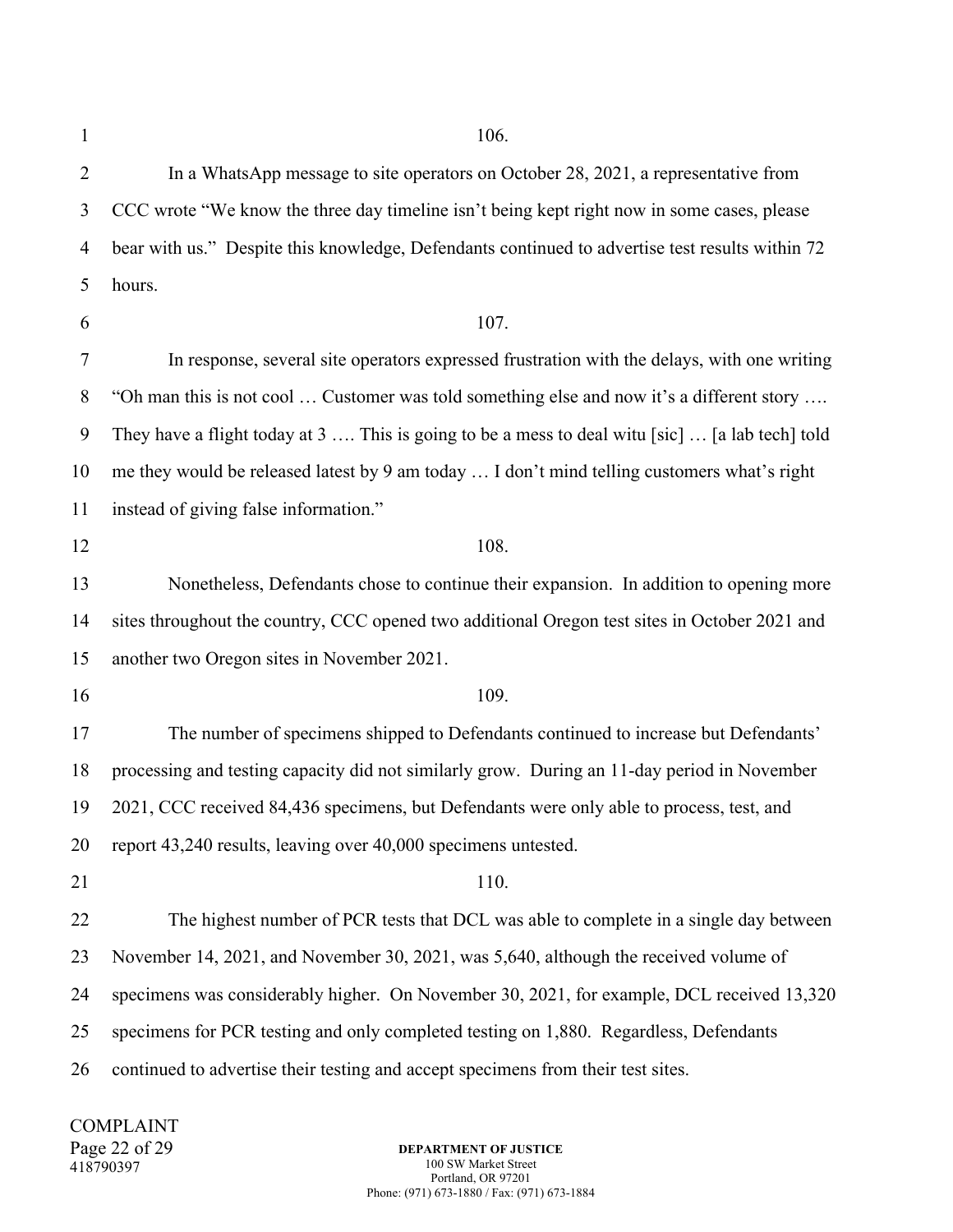1

2 3 4 5 6 7 8 9 10 11 12 13 14 15 16 17 18 19 20 21 22 23 24 25 26 106. In a WhatsApp message to site operators on October 28, 2021, a representative from CCC wrote "We know the three day timeline isn't being kept right now in some cases, please bear with us." Despite this knowledge, Defendants continued to advertise test results within 72 hours. 107. In response, several site operators expressed frustration with the delays, with one writing "Oh man this is not cool … Customer was told something else and now it's a different story …. They have a flight today at 3 …. This is going to be a mess to deal witu [sic] … [a lab tech] told me they would be released latest by 9 am today … I don't mind telling customers what's right instead of giving false information." 108. Nonetheless, Defendants chose to continue their expansion. In addition to opening more sites throughout the country, CCC opened two additional Oregon test sites in October 2021 and another two Oregon sites in November 2021. 109. The number of specimens shipped to Defendants continued to increase but Defendants' processing and testing capacity did not similarly grow. During an 11-day period in November 2021, CCC received 84,436 specimens, but Defendants were only able to process, test, and report 43,240 results, leaving over 40,000 specimens untested. 110. The highest number of PCR tests that DCL was able to complete in a single day between November 14, 2021, and November 30, 2021, was 5,640, although the received volume of specimens was considerably higher. On November 30, 2021, for example, DCL received 13,320 specimens for PCR testing and only completed testing on 1,880. Regardless, Defendants continued to advertise their testing and accept specimens from their test sites.

COMPLAINT Page 22 of 29 418790397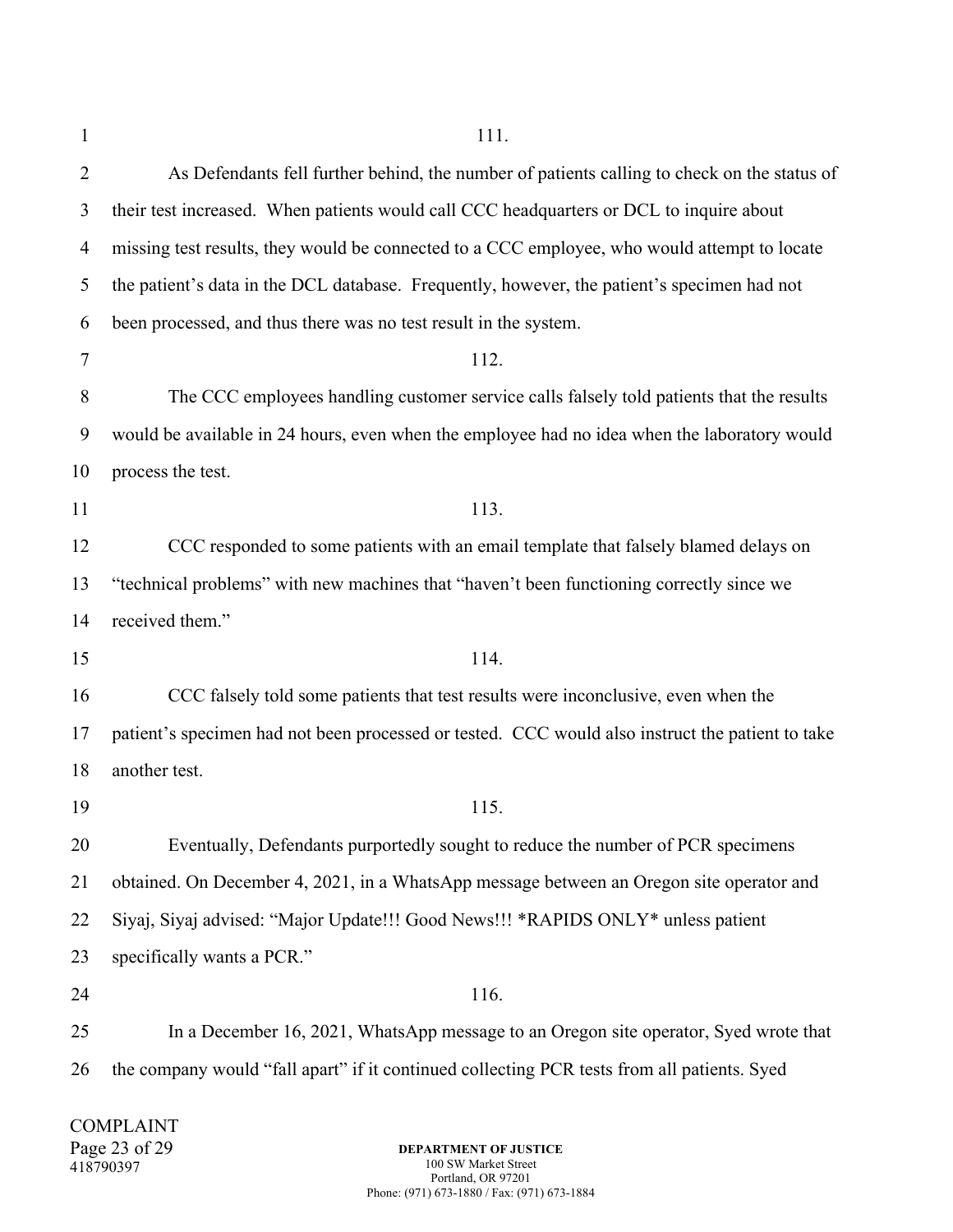| $\mathbf{1}$   | 111.                                                                                             |  |  |
|----------------|--------------------------------------------------------------------------------------------------|--|--|
| $\overline{2}$ | As Defendants fell further behind, the number of patients calling to check on the status of      |  |  |
| 3              | their test increased. When patients would call CCC headquarters or DCL to inquire about          |  |  |
| 4              | missing test results, they would be connected to a CCC employee, who would attempt to locate     |  |  |
| 5              | the patient's data in the DCL database. Frequently, however, the patient's specimen had not      |  |  |
| 6              | been processed, and thus there was no test result in the system.                                 |  |  |
| $\tau$         | 112.                                                                                             |  |  |
| 8              | The CCC employees handling customer service calls falsely told patients that the results         |  |  |
| 9              | would be available in 24 hours, even when the employee had no idea when the laboratory would     |  |  |
| 10             | process the test.                                                                                |  |  |
| 11             | 113.                                                                                             |  |  |
| 12             | CCC responded to some patients with an email template that falsely blamed delays on              |  |  |
| 13             | "technical problems" with new machines that "haven't been functioning correctly since we         |  |  |
| 14             | received them."                                                                                  |  |  |
| 15             | 114.                                                                                             |  |  |
| 16             | CCC falsely told some patients that test results were inconclusive, even when the                |  |  |
| 17             | patient's specimen had not been processed or tested. CCC would also instruct the patient to take |  |  |
| 18             | another test.                                                                                    |  |  |
| 19             | 115.                                                                                             |  |  |
| 20             | Eventually, Defendants purportedly sought to reduce the number of PCR specimens                  |  |  |
| 21             | obtained. On December 4, 2021, in a WhatsApp message between an Oregon site operator and         |  |  |
| 22             | Siyaj, Siyaj advised: "Major Update!!! Good News!!! *RAPIDS ONLY* unless patient                 |  |  |
| 23             | specifically wants a PCR."                                                                       |  |  |
| 24             | 116.                                                                                             |  |  |
| 25             | In a December 16, 2021, WhatsApp message to an Oregon site operator, Syed wrote that             |  |  |
| 26             | the company would "fall apart" if it continued collecting PCR tests from all patients. Syed      |  |  |
|                |                                                                                                  |  |  |

COMPLAINT Page 23 of 29 418790397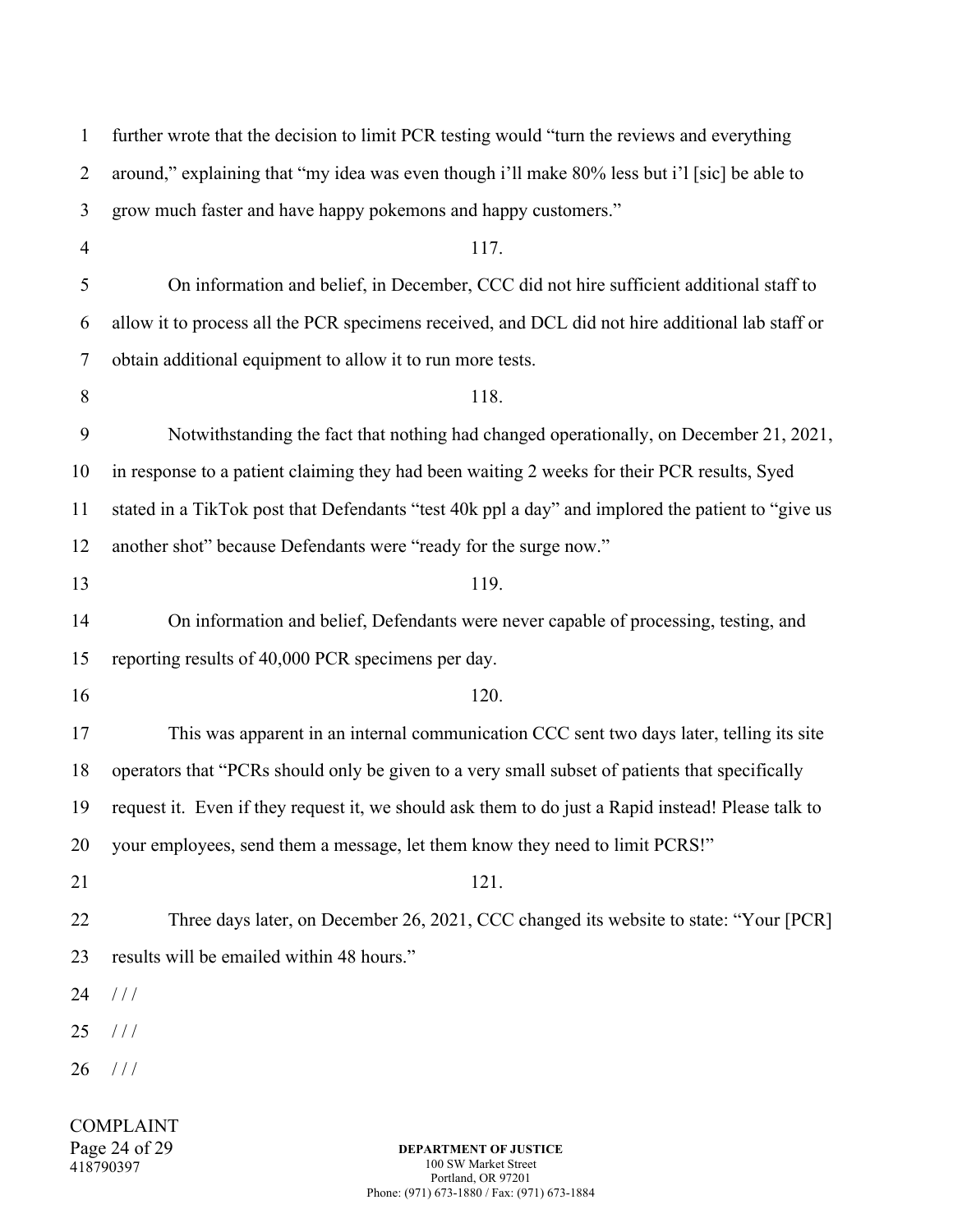| 1              | further wrote that the decision to limit PCR testing would "turn the reviews and everything        |  |
|----------------|----------------------------------------------------------------------------------------------------|--|
| $\overline{2}$ | around," explaining that "my idea was even though i'll make 80% less but i'l [sic] be able to      |  |
| 3              | grow much faster and have happy pokemons and happy customers."                                     |  |
| $\overline{4}$ | 117.                                                                                               |  |
| 5              | On information and belief, in December, CCC did not hire sufficient additional staff to            |  |
| 6              | allow it to process all the PCR specimens received, and DCL did not hire additional lab staff or   |  |
| 7              | obtain additional equipment to allow it to run more tests.                                         |  |
| 8              | 118.                                                                                               |  |
| 9              | Notwithstanding the fact that nothing had changed operationally, on December 21, 2021,             |  |
| 10             | in response to a patient claiming they had been waiting 2 weeks for their PCR results, Syed        |  |
| 11             | stated in a TikTok post that Defendants "test 40k ppl a day" and implored the patient to "give us  |  |
| 12             | another shot" because Defendants were "ready for the surge now."                                   |  |
| 13             | 119.                                                                                               |  |
| 14             | On information and belief, Defendants were never capable of processing, testing, and               |  |
| 15             | reporting results of 40,000 PCR specimens per day.                                                 |  |
| 16             | 120.                                                                                               |  |
| 17             | This was apparent in an internal communication CCC sent two days later, telling its site           |  |
| 18             | operators that "PCRs should only be given to a very small subset of patients that specifically     |  |
| 19             | request it. Even if they request it, we should ask them to do just a Rapid instead! Please talk to |  |
| 20             | your employees, send them a message, let them know they need to limit PCRS!"                       |  |
| 21             | 121.                                                                                               |  |
| 22             | Three days later, on December 26, 2021, CCC changed its website to state: "Your [PCR]              |  |
| 23             | results will be emailed within 48 hours."                                                          |  |
| 24             | 111                                                                                                |  |
| 25             | //                                                                                                 |  |
| 26             | 111                                                                                                |  |
|                | <b>COMPLAINT</b><br>Page 24 of 29<br><b>DEPARTMENT OF JUSTICE</b>                                  |  |
|                | 418790397<br>100 SW Market Street<br>$41.4$ OD 07201                                               |  |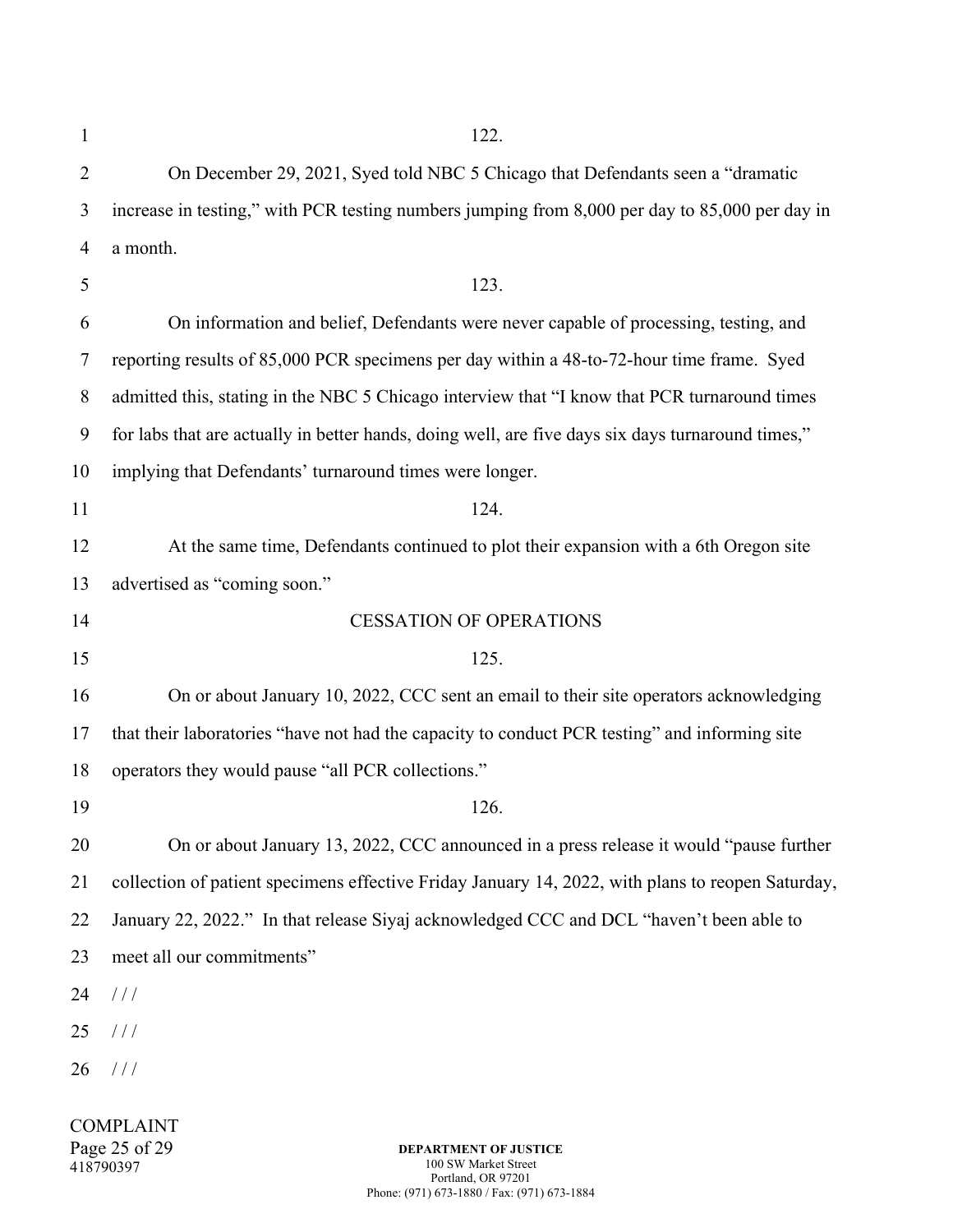COMPLAINT Page 25 of 29 418790397 **DEPARTMENT OF JUSTICE** 1 2 3 4 5 6 7 8 9 10 11 12 13 14 15 16 17 18 19 20 21 22 23 24 25 26 122. On December 29, 2021, Syed told NBC 5 Chicago that Defendants seen a "dramatic increase in testing," with PCR testing numbers jumping from 8,000 per day to 85,000 per day in a month. 123. On information and belief, Defendants were never capable of processing, testing, and reporting results of 85,000 PCR specimens per day within a 48-to-72-hour time frame. Syed admitted this, stating in the NBC 5 Chicago interview that "I know that PCR turnaround times for labs that are actually in better hands, doing well, are five days six days turnaround times," implying that Defendants' turnaround times were longer. 124. At the same time, Defendants continued to plot their expansion with a 6th Oregon site advertised as "coming soon." CESSATION OF OPERATIONS 125. On or about January 10, 2022, CCC sent an email to their site operators acknowledging that their laboratories "have not had the capacity to conduct PCR testing" and informing site operators they would pause "all PCR collections." 126. On or about January 13, 2022, CCC announced in a press release it would "pause further collection of patient specimens effective Friday January 14, 2022, with plans to reopen Saturday, January 22, 2022." In that release Siyaj acknowledged CCC and DCL "haven't been able to meet all our commitments"  $/ / /$  $/$  /  $/$  $/$  /  $/$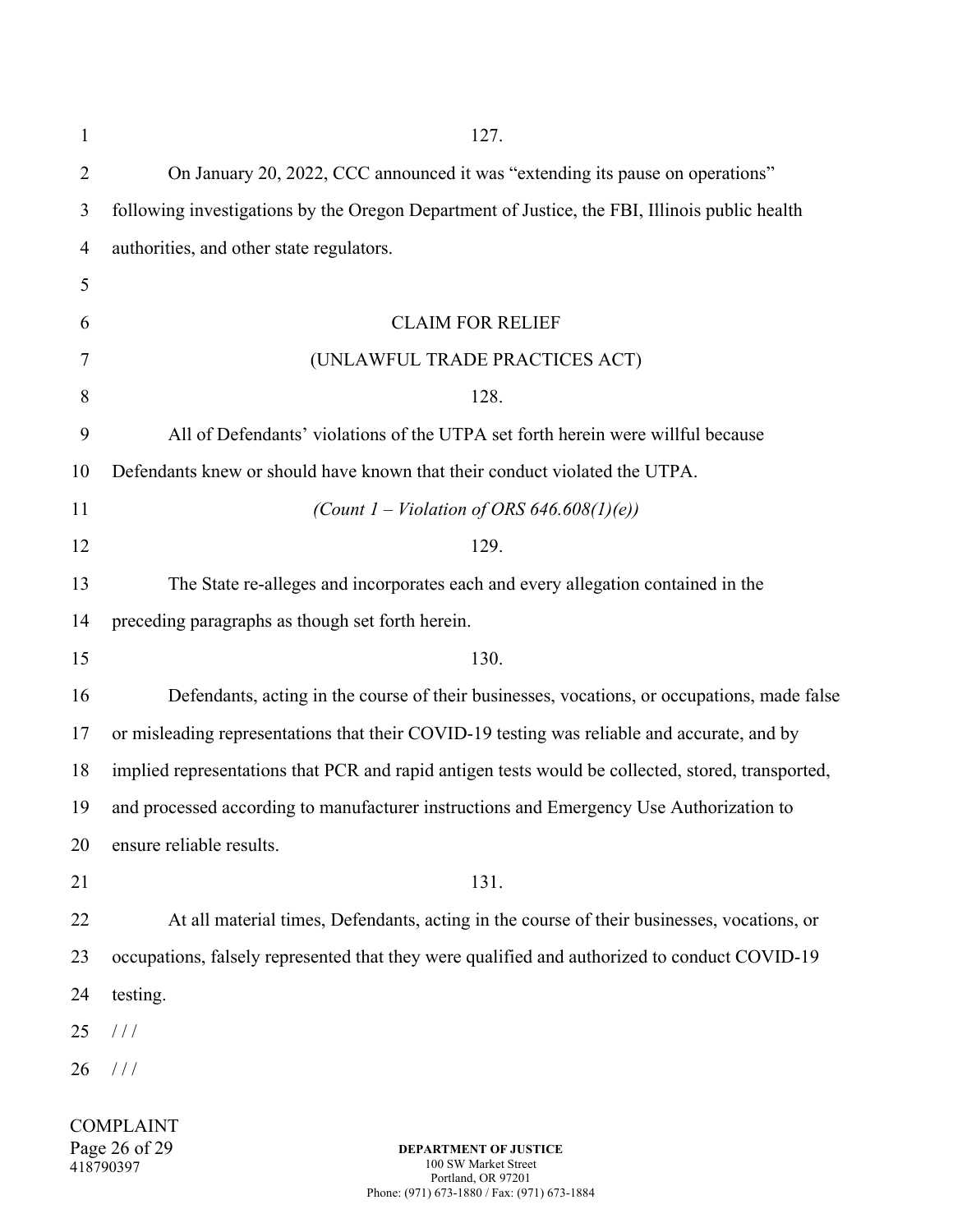| $\mathbf{1}$   | 127.                                                                                              |  |  |
|----------------|---------------------------------------------------------------------------------------------------|--|--|
| $\overline{2}$ | On January 20, 2022, CCC announced it was "extending its pause on operations"                     |  |  |
| 3              | following investigations by the Oregon Department of Justice, the FBI, Illinois public health     |  |  |
| 4              | authorities, and other state regulators.                                                          |  |  |
| 5              |                                                                                                   |  |  |
| 6              | <b>CLAIM FOR RELIEF</b>                                                                           |  |  |
| 7              | (UNLAWFUL TRADE PRACTICES ACT)                                                                    |  |  |
| 8              | 128.                                                                                              |  |  |
| 9              | All of Defendants' violations of the UTPA set forth herein were willful because                   |  |  |
| 10             | Defendants knew or should have known that their conduct violated the UTPA.                        |  |  |
| 11             | (Count $1 -$ Violation of ORS 646.608(1)(e))                                                      |  |  |
| 12             | 129.                                                                                              |  |  |
| 13             | The State re-alleges and incorporates each and every allegation contained in the                  |  |  |
| 14             | preceding paragraphs as though set forth herein.                                                  |  |  |
| 15             | 130.                                                                                              |  |  |
| 16             | Defendants, acting in the course of their businesses, vocations, or occupations, made false       |  |  |
| 17             | or misleading representations that their COVID-19 testing was reliable and accurate, and by       |  |  |
| 18             | implied representations that PCR and rapid antigen tests would be collected, stored, transported, |  |  |
| 19             | and processed according to manufacturer instructions and Emergency Use Authorization to           |  |  |
| 20             | ensure reliable results.                                                                          |  |  |
| 21             | 131.                                                                                              |  |  |
| 22             | At all material times, Defendants, acting in the course of their businesses, vocations, or        |  |  |
| 23             | occupations, falsely represented that they were qualified and authorized to conduct COVID-19      |  |  |
| 24             | testing.                                                                                          |  |  |
| 25             | 111                                                                                               |  |  |
| 26             | 111                                                                                               |  |  |
|                | <b>COMPLAINT</b>                                                                                  |  |  |

Page 26 of 29 418790397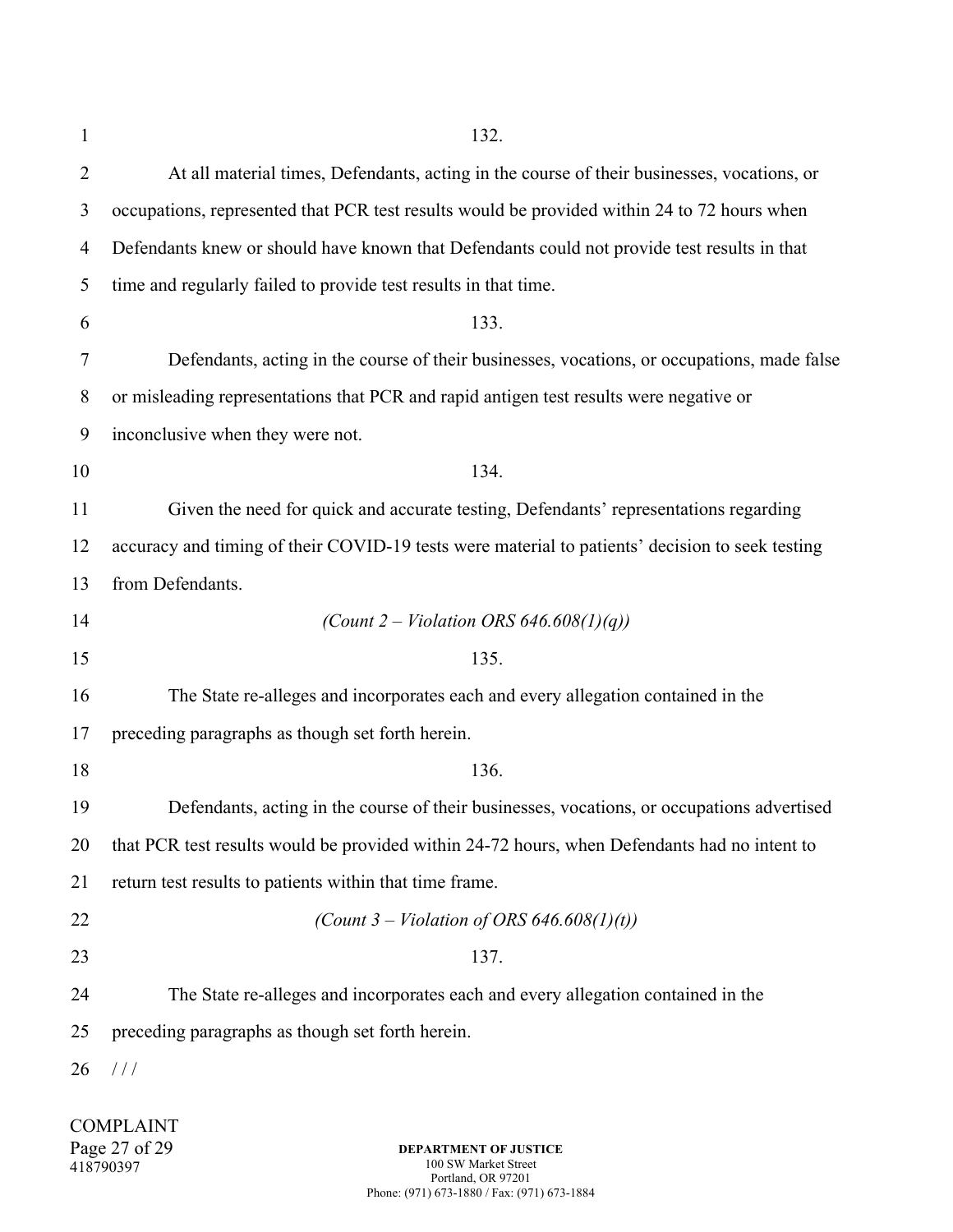| 1  | 132.                                                                                            |  |  |
|----|-------------------------------------------------------------------------------------------------|--|--|
| 2  | At all material times, Defendants, acting in the course of their businesses, vocations, or      |  |  |
| 3  | occupations, represented that PCR test results would be provided within 24 to 72 hours when     |  |  |
| 4  | Defendants knew or should have known that Defendants could not provide test results in that     |  |  |
| 5  | time and regularly failed to provide test results in that time.                                 |  |  |
| 6  | 133.                                                                                            |  |  |
| 7  | Defendants, acting in the course of their businesses, vocations, or occupations, made false     |  |  |
| 8  | or misleading representations that PCR and rapid antigen test results were negative or          |  |  |
| 9  | inconclusive when they were not.                                                                |  |  |
| 10 | 134.                                                                                            |  |  |
| 11 | Given the need for quick and accurate testing, Defendants' representations regarding            |  |  |
| 12 | accuracy and timing of their COVID-19 tests were material to patients' decision to seek testing |  |  |
| 13 | from Defendants.                                                                                |  |  |
| 14 | (Count 2 – Violation ORS 646.608(1)(q))                                                         |  |  |
| 15 | 135.                                                                                            |  |  |
| 16 | The State re-alleges and incorporates each and every allegation contained in the                |  |  |
| 17 | preceding paragraphs as though set forth herein.                                                |  |  |
| 18 | 136.                                                                                            |  |  |
| 19 | Defendants, acting in the course of their businesses, vocations, or occupations advertised      |  |  |
| 20 | that PCR test results would be provided within 24-72 hours, when Defendants had no intent to    |  |  |
| 21 | return test results to patients within that time frame.                                         |  |  |
| 22 | (Count 3 – Violation of ORS 646.608(1)(t))                                                      |  |  |
| 23 | 137.                                                                                            |  |  |
| 24 | The State re-alleges and incorporates each and every allegation contained in the                |  |  |
| 25 | preceding paragraphs as though set forth herein.                                                |  |  |
| 26 | 111                                                                                             |  |  |

COMPLAINT Page 27 of 29 418790397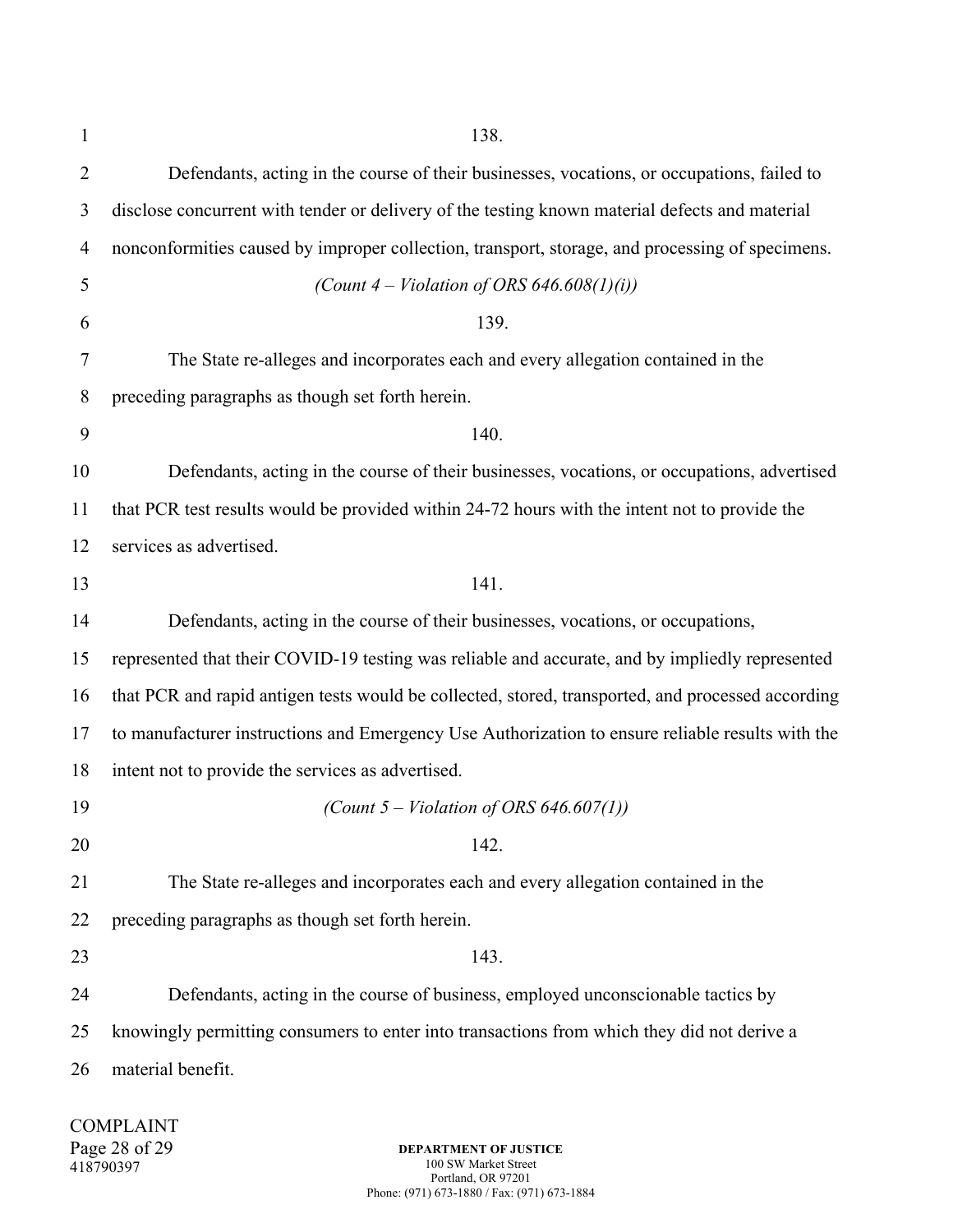| Defendants, acting in the course of their businesses, vocations, or occupations, failed to<br>disclose concurrent with tender or delivery of the testing known material defects and material<br>nonconformities caused by improper collection, transport, storage, and processing of specimens.<br>(Count 4 – Violation of ORS 646.608(1)(i))<br>139. |  |  |
|-------------------------------------------------------------------------------------------------------------------------------------------------------------------------------------------------------------------------------------------------------------------------------------------------------------------------------------------------------|--|--|
|                                                                                                                                                                                                                                                                                                                                                       |  |  |
|                                                                                                                                                                                                                                                                                                                                                       |  |  |
|                                                                                                                                                                                                                                                                                                                                                       |  |  |
|                                                                                                                                                                                                                                                                                                                                                       |  |  |
|                                                                                                                                                                                                                                                                                                                                                       |  |  |
| The State re-alleges and incorporates each and every allegation contained in the                                                                                                                                                                                                                                                                      |  |  |
| preceding paragraphs as though set forth herein.                                                                                                                                                                                                                                                                                                      |  |  |
| 140.                                                                                                                                                                                                                                                                                                                                                  |  |  |
| Defendants, acting in the course of their businesses, vocations, or occupations, advertised                                                                                                                                                                                                                                                           |  |  |
| that PCR test results would be provided within 24-72 hours with the intent not to provide the                                                                                                                                                                                                                                                         |  |  |
| services as advertised.                                                                                                                                                                                                                                                                                                                               |  |  |
| 141.                                                                                                                                                                                                                                                                                                                                                  |  |  |
| Defendants, acting in the course of their businesses, vocations, or occupations,                                                                                                                                                                                                                                                                      |  |  |
| represented that their COVID-19 testing was reliable and accurate, and by impliedly represented                                                                                                                                                                                                                                                       |  |  |
| that PCR and rapid antigen tests would be collected, stored, transported, and processed according                                                                                                                                                                                                                                                     |  |  |
| to manufacturer instructions and Emergency Use Authorization to ensure reliable results with the                                                                                                                                                                                                                                                      |  |  |
| intent not to provide the services as advertised.                                                                                                                                                                                                                                                                                                     |  |  |
| (Count $5 - Violation$ of ORS 646.607(1))                                                                                                                                                                                                                                                                                                             |  |  |
| 142.                                                                                                                                                                                                                                                                                                                                                  |  |  |
| The State re-alleges and incorporates each and every allegation contained in the                                                                                                                                                                                                                                                                      |  |  |
| preceding paragraphs as though set forth herein.                                                                                                                                                                                                                                                                                                      |  |  |
| 143.                                                                                                                                                                                                                                                                                                                                                  |  |  |
| Defendants, acting in the course of business, employed unconscionable tactics by                                                                                                                                                                                                                                                                      |  |  |
| knowingly permitting consumers to enter into transactions from which they did not derive a                                                                                                                                                                                                                                                            |  |  |
| material benefit.                                                                                                                                                                                                                                                                                                                                     |  |  |
|                                                                                                                                                                                                                                                                                                                                                       |  |  |

COMPLAINT Page 28 of 29 418790397